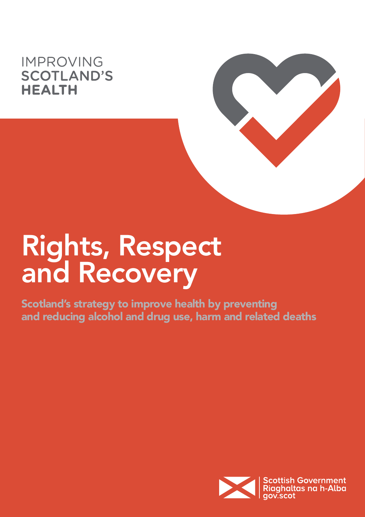## **IMPROVING SCOTLAND'S HEALTH**



Scotland's strategy to improve health by preventing and reducing alcohol and drug use, harm and related deaths

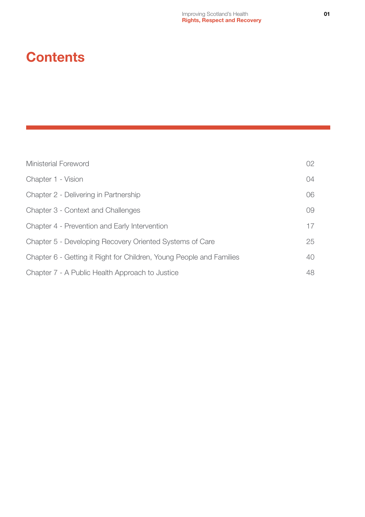## **Contents**

| <b>Ministerial Foreword</b>                                          | 02 |
|----------------------------------------------------------------------|----|
| Chapter 1 - Vision                                                   | 04 |
| Chapter 2 - Delivering in Partnership                                | 06 |
| Chapter 3 - Context and Challenges                                   | 09 |
| Chapter 4 - Prevention and Early Intervention                        | 17 |
| Chapter 5 - Developing Recovery Oriented Systems of Care             | 25 |
| Chapter 6 - Getting it Right for Children, Young People and Families | 40 |
| Chapter 7 - A Public Health Approach to Justice                      | 48 |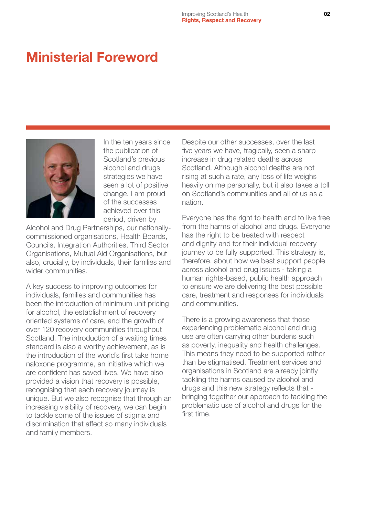## <span id="page-2-0"></span>Ministerial Foreword



In the ten years since the publication of Scotland's previous alcohol and drugs strategies we have seen a lot of positive change. I am proud of the successes achieved over this period, driven by

Alcohol and Drug Partnerships, our nationallycommissioned organisations, Health Boards, Councils, Integration Authorities, Third Sector Organisations, Mutual Aid Organisations, but also, crucially, by individuals, their families and wider communities.

A key success to improving outcomes for individuals, families and communities has been the introduction of minimum unit pricing for alcohol, the establishment of recovery oriented systems of care, and the growth of over 120 recovery communities throughout Scotland. The introduction of a waiting times standard is also a worthy achievement, as is the introduction of the world's first take home naloxone programme, an initiative which we are confident has saved lives. We have also provided a vision that recovery is possible, recognising that each recovery journey is unique. But we also recognise that through an increasing visibility of recovery, we can begin to tackle some of the issues of stigma and discrimination that affect so many individuals and family members.

Despite our other successes, over the last five years we have, tragically, seen a sharp increase in drug related deaths across Scotland. Although alcohol deaths are not rising at such a rate, any loss of life weighs heavily on me personally, but it also takes a toll on Scotland's communities and all of us as a nation.

Everyone has the right to health and to live free from the harms of alcohol and drugs. Everyone has the right to be treated with respect and dignity and for their individual recovery journey to be fully supported. This strategy is, therefore, about how we best support people across alcohol and drug issues - taking a human rights-based, public health approach to ensure we are delivering the best possible care, treatment and responses for individuals and communities.

There is a growing awareness that those experiencing problematic alcohol and drug use are often carrying other burdens such as poverty, inequality and health challenges. This means they need to be supported rather than be stigmatised. Treatment services and organisations in Scotland are already jointly tackling the harms caused by alcohol and drugs and this new strategy reflects that bringing together our approach to tackling the problematic use of alcohol and drugs for the first time.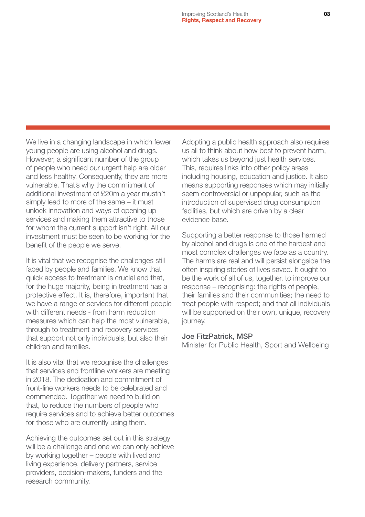We live in a changing landscape in which fewer young people are using alcohol and drugs. However, a significant number of the group of people who need our urgent help are older and less healthy. Consequently, they are more vulnerable. That's why the commitment of additional investment of £20m a year mustn't simply lead to more of the same – it must unlock innovation and ways of opening up services and making them attractive to those for whom the current support isn't right. All our investment must be seen to be working for the benefit of the people we serve.

It is vital that we recognise the challenges still faced by people and families. We know that quick access to treatment is crucial and that, for the huge majority, being in treatment has a protective effect. It is, therefore, important that we have a range of services for different people with different needs - from harm reduction measures which can help the most vulnerable, through to treatment and recovery services that support not only individuals, but also their children and families.

It is also vital that we recognise the challenges that services and frontline workers are meeting in 2018. The dedication and commitment of front-line workers needs to be celebrated and commended. Together we need to build on that, to reduce the numbers of people who require services and to achieve better outcomes for those who are currently using them.

Achieving the outcomes set out in this strategy will be a challenge and one we can only achieve by working together – people with lived and living experience, delivery partners, service providers, decision-makers, funders and the research community.

Adopting a public health approach also requires us all to think about how best to prevent harm, which takes us beyond just health services. This, requires links into other policy areas including housing, education and justice. It also means supporting responses which may initially seem controversial or unpopular, such as the introduction of supervised drug consumption facilities, but which are driven by a clear evidence base.

Supporting a better response to those harmed by alcohol and drugs is one of the hardest and most complex challenges we face as a country. The harms are real and will persist alongside the often inspiring stories of lives saved. It ought to be the work of all of us, together, to improve our response – recognising: the rights of people, their families and their communities; the need to treat people with respect; and that all individuals will be supported on their own, unique, recovery journey.

#### Joe FitzPatrick, MSP

Minister for Public Health, Sport and Wellbeing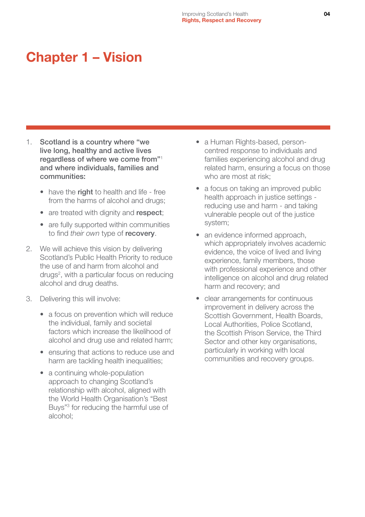## <span id="page-4-0"></span>Chapter 1 – Vision

- 1. Scotland is a country where "we live long, healthy and active lives regardless of where we come from"<sup>1</sup> and where individuals, families and communities:
	- have the right to health and life free from the harms of alcohol and drugs;
	- are treated with dignity and respect:
	- are fully supported within communities to find *their own* type of recovery.
- 2. We will achieve this vision by delivering Scotland's Public Health Priority to reduce the use of and harm from alcohol and drugs<sup>2</sup>, with a particular focus on reducing alcohol and drug deaths.
- 3. Delivering this will involve:
	- a focus on prevention which will reduce the individual, family and societal factors which increase the likelihood of alcohol and drug use and related harm;
	- ensuring that actions to reduce use and harm are tackling health inequalities;
	- a continuing whole-population approach to changing Scotland's relationship with alcohol, aligned with the World Health Organisation's "Best Buys"3 for reducing the harmful use of alcohol;
- a Human Rights-based, personcentred response to individuals and families experiencing alcohol and drug related harm, ensuring a focus on those who are most at risk;
- a focus on taking an improved public health approach in justice settings reducing use and harm - and taking vulnerable people out of the justice system;
- an evidence informed approach, which appropriately involves academic evidence, the voice of lived and living experience, family members, those with professional experience and other intelligence on alcohol and drug related harm and recovery; and
- clear arrangements for continuous improvement in delivery across the Scottish Government, Health Boards, Local Authorities, Police Scotland, the Scottish Prison Service, the Third Sector and other key organisations, particularly in working with local communities and recovery groups.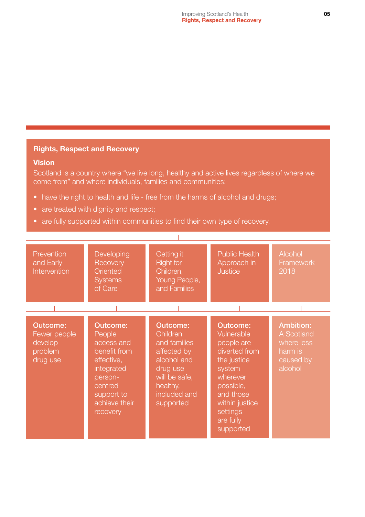#### Rights, Respect and Recovery

#### Vision

Scotland is a country where "we live long, healthy and active lives regardless of where we come from" and where individuals, families and communities:

- have the right to health and life free from the harms of alcohol and drugs;
- are treated with dignity and respect;
- are fully supported within communities to find their own type of recovery.

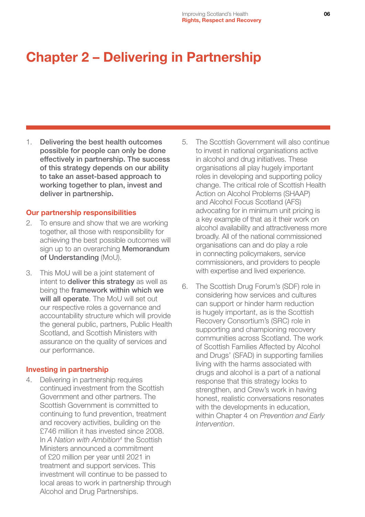## <span id="page-6-0"></span>Chapter 2 – Delivering in Partnership

1. Delivering the best health outcomes possible for people can only be done effectively in partnership. The success of this strategy depends on our ability to take an asset-based approach to working together to plan, invest and deliver in partnership.

#### Our partnership responsibilities

- 2. To ensure and show that we are working together, all those with responsibility for achieving the best possible outcomes will sign up to an overarching **Memorandum** of Understanding (MoU).
- 3. This MoU will be a joint statement of intent to **deliver this strategy** as well as being the framework within which we will all operate. The MoU will set out our respective roles a governance and accountability structure which will provide the general public, partners, Public Health Scotland, and Scottish Ministers with assurance on the quality of services and our performance.

#### Investing in partnership

4. Delivering in partnership requires continued investment from the Scottish Government and other partners. The Scottish Government is committed to continuing to fund prevention, treatment and recovery activities, building on the £746 million it has invested since 2008. In *A Nation with Ambition4* the Scottish Ministers announced a commitment of £20 million per year until 2021 in treatment and support services. This investment will continue to be passed to local areas to work in partnership through Alcohol and Drug Partnerships.

- 5. The Scottish Government will also continue to invest in national organisations active in alcohol and drug initiatives. These organisations all play hugely important roles in developing and supporting policy change. The critical role of Scottish Health Action on Alcohol Problems (SHAAP) and Alcohol Focus Scotland (AFS) advocating for in minimum unit pricing is a key example of that as it their work on alcohol availability and attractiveness more broadly. All of the national commissioned organisations can and do play a role in connecting policymakers, service commissioners, and providers to people with expertise and lived experience.
- 6. The Scottish Drug Forum's (SDF) role in considering how services and cultures can support or hinder harm reduction is hugely important, as is the Scottish Recovery Consortium's (SRC) role in supporting and championing recovery communities across Scotland. The work of Scottish Families Affected by Alcohol and Drugs' (SFAD) in supporting families living with the harms associated with drugs and alcohol is a part of a national response that this strategy looks to strengthen, and Crew's work in having honest, realistic conversations resonates with the developments in education. within Chapter 4 on *Prevention and Early Intervention*.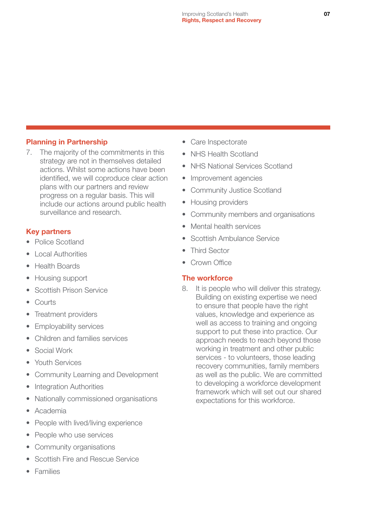#### Planning in Partnership

7. The majority of the commitments in this strategy are not in themselves detailed actions. Whilst some actions have been identified, we will coproduce clear action plans with our partners and review progress on a regular basis. This will include our actions around public health surveillance and research.

#### Key partners

- Police Scotland
- Local Authorities
- Health Boards
- Housing support
- Scottish Prison Service
- Courts
- Treatment providers
- Employability services
- Children and families services
- Social Work
- Youth Services
- Community Learning and Development
- Integration Authorities
- Nationally commissioned organisations
- Academia
- People with lived/living experience
- People who use services
- Community organisations
- Scottish Fire and Rescue Service
- Families
- Care Inspectorate
- NHS Health Scotland
- NHS National Services Scotland
- Improvement agencies
- Community Justice Scotland
- Housing providers
- Community members and organisations
- Mental health services
- Scottish Ambulance Service
- Third Sector
- Crown Office

#### The workforce

8. It is people who will deliver this strategy. Building on existing expertise we need to ensure that people have the right values, knowledge and experience as well as access to training and ongoing support to put these into practice. Our approach needs to reach beyond those working in treatment and other public services - to volunteers, those leading recovery communities, family members as well as the public. We are committed to developing a workforce development framework which will set out our shared expectations for this workforce.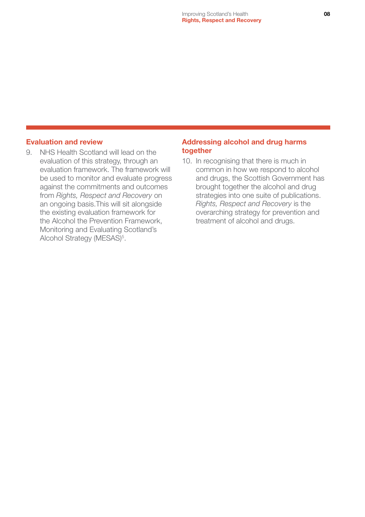#### Evaluation and review

9. NHS Health Scotland will lead on the evaluation of this strategy, through an evaluation framework. The framework will be used to monitor and evaluate progress against the commitments and outcomes from *Rights, Respect and Recovery* on an ongoing basis.This will sit alongside the existing evaluation framework for the Alcohol the Prevention Framework, Monitoring and Evaluating Scotland's Alcohol Strategy (MESAS)<sup>5</sup>.

#### Addressing alcohol and drug harms together

10. In recognising that there is much in common in how we respond to alcohol and drugs, the Scottish Government has brought together the alcohol and drug strategies into one suite of publications. *Rights, Respect and Recovery* is the overarching strategy for prevention and treatment of alcohol and drugs.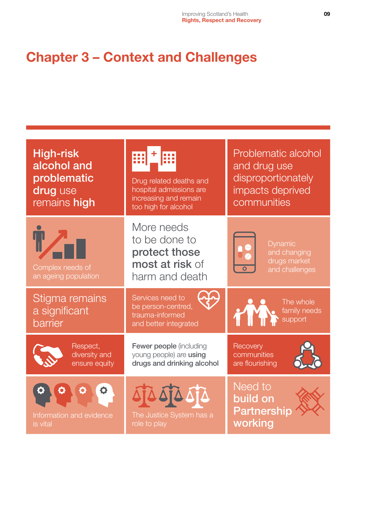## <span id="page-9-0"></span>Chapter 3 – Context and Challenges

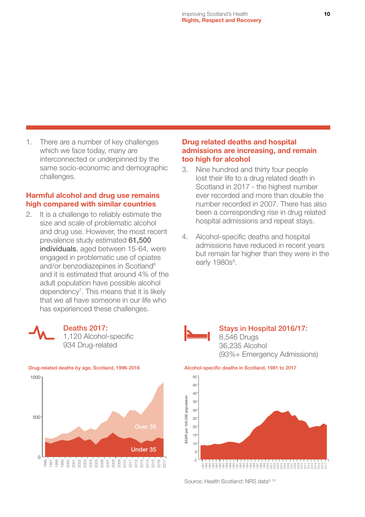1. There are a number of key challenges which we face today, many are interconnected or underpinned by the same socio-economic and demographic challenges.

#### Harmful alcohol and drug use remains high compared with similar countries

2. It is a challenge to reliably estimate the size and scale of problematic alcohol and drug use. However, the most recent prevalence study estimated 61,500 individuals, aged between 15-64, were engaged in problematic use of opiates and/or benzodiazepines in Scotland<sup>6</sup> and it is estimated that around 4% of the adult population have possible alcohol dependency<sup>7</sup>. This means that it is likely that we all have someone in our life who has experienced these challenges.



#### Deaths 2017: 1,120 Alcohol-specific

934 Drug-related



#### Drug related deaths and hospital admissions are increasing, and remain too high for alcohol

- 3. Nine hundred and thirty four people lost their life to a drug related death in Scotland in 2017 - the highest number ever recorded and more than double the number recorded in 2007. There has also been a corresponding rise in drug related hospital admissions and repeat stays.
- 4. Alcohol-specific deaths and hospital admissions have reduced in recent years but remain far higher than they were in the early 1980s<sup>8</sup>.



#### Stays in Hospital 2016/17: 8,546 Drugs 36,235 Alcohol (93%+ Emergency Admissions)



Source: Health Scotland: NRS data<sup>9, 10</sup>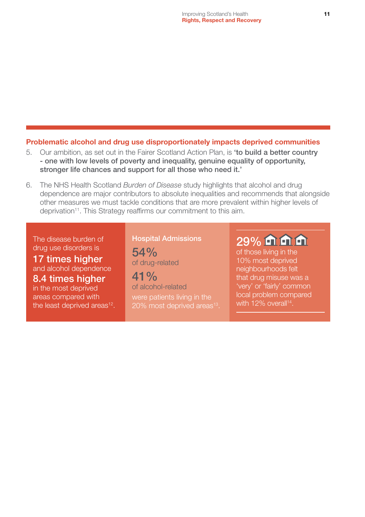#### Problematic alcohol and drug use disproportionately impacts deprived communities

- 5. Our ambition, as set out in the Fairer Scotland Action Plan, is 'to build a better country - one with low levels of poverty and inequality, genuine equality of opportunity, stronger life chances and support for all those who need it.'
- 6. The NHS Health Scotland *Burden of Disease* study highlights that alcohol and drug dependence are major contributors to absolute inequalities and recommends that alongside other measures we must tackle conditions that are more prevalent within higher levels of deprivation<sup>11</sup>. This Strategy reaffirms our commitment to this aim.

The disease burden of drug use disorders is

17 times higher and alcohol dependence 8.4 times higher in the most deprived

areas compared with the least deprived areas<sup>12</sup>. Hospital Admissions

54% of drug-related

 $41\%$ of alcohol-related were patients living in the 20% most deprived areas<sup>13</sup>.

## 29% m m m

of those living in the 10% most deprived neighbourhoods felt that drug misuse was a 'very' or 'fairly' common local problem compared with 12% overall<sup>14</sup>.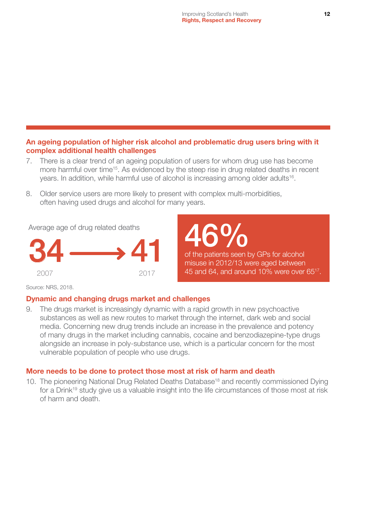#### An ageing population of higher risk alcohol and problematic drug users bring with it complex additional health challenges

- 7. There is a clear trend of an ageing population of users for whom drug use has become more harmful over time<sup>15</sup>. As evidenced by the steep rise in drug related deaths in recent years. In addition, while harmful use of alcohol is increasing among older adults<sup>16</sup>.
- 8. Older service users are more likely to present with complex multi-morbidities, often having used drugs and alcohol for many years.



# 46%

of the patients seen by GPs for alcohol misuse in 2012/13 were aged between 45 and 64, and around 10% were over 6517.

Source: NRS, 2018.

#### Dynamic and changing drugs market and challenges

9. The drugs market is increasingly dynamic with a rapid growth in new psychoactive substances as well as new routes to market through the internet, dark web and social media. Concerning new drug trends include an increase in the prevalence and potency of many drugs in the market including cannabis, cocaine and benzodiazepine-type drugs alongside an increase in poly-substance use, which is a particular concern for the most vulnerable population of people who use drugs.

#### More needs to be done to protect those most at risk of harm and death

10. The pioneering National Drug Related Deaths Database<sup>18</sup> and recently commissioned Dying for a Drink<sup>19</sup> study give us a valuable insight into the life circumstances of those most at risk of harm and death.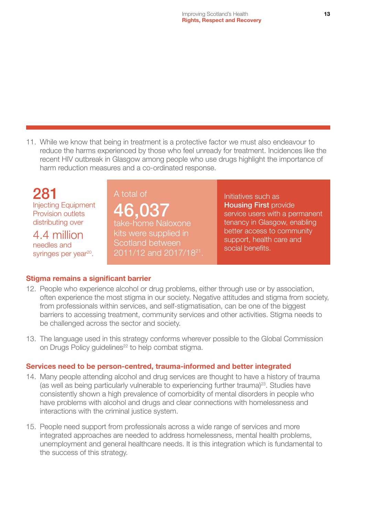11. While we know that being in treatment is a protective factor we must also endeavour to reduce the harms experienced by those who feel unready for treatment. Incidences like the recent HIV outbreak in Glasgow among people who use drugs highlight the importance of harm reduction measures and a co-ordinated response.

## 281

Injecting Equipment Provision outlets distributing over

4.4 million needles and syringes per year<sup>20</sup>.

### A total of 46,037 take-home Naloxone

kits were supplied in Scotland between 2011/12 and 2017/1821. Initiatives such as Housing First provide service users with a permanent tenancy in Glasgow, enabling better access to community support, health care and social benefits.

#### Stigma remains a significant barrier

- 12. People who experience alcohol or drug problems, either through use or by association, often experience the most stigma in our society. Negative attitudes and stigma from society, from professionals within services, and self-stigmatisation, can be one of the biggest barriers to accessing treatment, community services and other activities. Stigma needs to be challenged across the sector and society.
- 13. The language used in this strategy conforms wherever possible to the Global Commission on Drugs Policy guidelines<sup>22</sup> to help combat stigma.

#### Services need to be person-centred, trauma-informed and better integrated

- 14. Many people attending alcohol and drug services are thought to have a history of trauma (as well as being particularly vulnerable to experiencing further trauma)<sup>23</sup>. Studies have consistently shown a high prevalence of comorbidity of mental disorders in people who have problems with alcohol and drugs and clear connections with homelessness and interactions with the criminal justice system.
- 15. People need support from professionals across a wide range of services and more integrated approaches are needed to address homelessness, mental health problems, unemployment and general healthcare needs. It is this integration which is fundamental to the success of this strategy.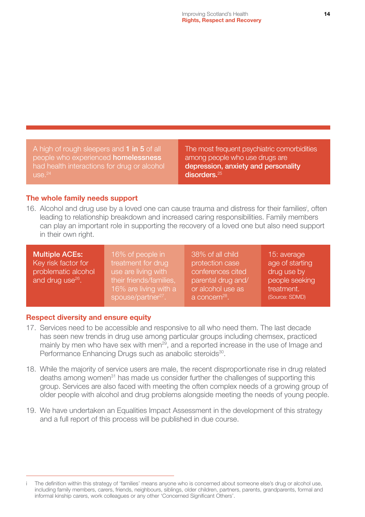A high of rough sleepers and 1 in 5 of all people who experienced **homelessness** had health interactions for drug or alcohol  $LISE<sup>24</sup>$ 

The most frequent psychiatric comorbidities among people who use drugs are depression, anxiety and personality disorders.<sup>25</sup>

#### The whole family needs support

16. Alcohol and drug use by a loved one can cause trauma and distress for their families<sup>i</sup>, often leading to relationship breakdown and increased caring responsibilities. Family members can play an important role in supporting the recovery of a loved one but also need support in their own right.

Multiple ACEs: Key risk factor for problematic alcohol and drug use $26$ .

16% of people in treatment for drug use are living with their friends/families, 16% are living with a spouse/partner<sup>27</sup>.

38% of all child protection case conferences cited parental drug and/ or alcohol use as a concern<sup>28</sup>.

15: average age of starting drug use by people seeking treatment. (Source: SDMD)

#### Respect diversity and ensure equity

- 17. Services need to be accessible and responsive to all who need them. The last decade has seen new trends in drug use among particular groups including chemsex, practiced mainly by men who have sex with men<sup>29</sup>, and a reported increase in the use of Image and Performance Enhancing Drugs such as anabolic steroids<sup>30</sup>.
- 18. While the majority of service users are male, the recent disproportionate rise in drug related deaths among women<sup>31</sup> has made us consider further the challenges of supporting this group. Services are also faced with meeting the often complex needs of a growing group of older people with alcohol and drug problems alongside meeting the needs of young people.
- 19. We have undertaken an Equalities Impact Assessment in the development of this strategy and a full report of this process will be published in due course.

The definition within this strategy of 'families' means anyone who is concerned about someone else's drug or alcohol use, including family members, carers, friends, neighbours, siblings, older children, partners, parents, grandparents, formal and informal kinship carers, work colleagues or any other 'Concerned Significant Others'.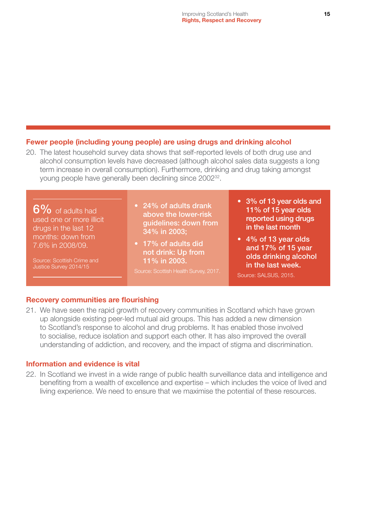#### Fewer people (including young people) are using drugs and drinking alcohol

20. The latest household survey data shows that self-reported levels of both drug use and alcohol consumption levels have decreased (although alcohol sales data suggests a long term increase in overall consumption). Furthermore, drinking and drug taking amongst young people have generally been declining since 200232.

6% of adults had used one or more illicit drugs in the last 12 months: down from 7.6% in 2008/09.

Source: Scottish Crime and Justice Survey 2014/15

- 24% of adults drank above the lower-risk guidelines: down from 34% in 2003;
- 17% of adults did not drink: Up from 11% in 2003.

- 3% of 13 year olds and 11% of 15 year olds reported using drugs in the last month
- 4% of 13 year olds and 17% of 15 year olds drinking alcohol in the last week.

#### Source: SALSUS, 2015.

#### Recovery communities are flourishing

21. We have seen the rapid growth of recovery communities in Scotland which have grown up alongside existing peer-led mutual aid groups. This has added a new dimension to Scotland's response to alcohol and drug problems. It has enabled those involved to socialise, reduce isolation and support each other. It has also improved the overall understanding of addiction, and recovery, and the impact of stigma and discrimination.

#### Information and evidence is vital

22. In Scotland we invest in a wide range of public health surveillance data and intelligence and benefiting from a wealth of excellence and expertise – which includes the voice of lived and living experience. We need to ensure that we maximise the potential of these resources.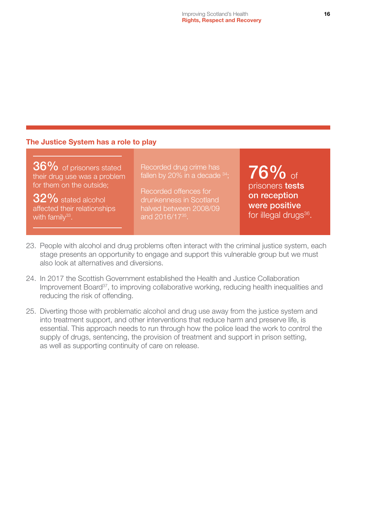#### The Justice System has a role to play

36% of prisoners stated their drug use was a problem for them on the outside;

32% stated alcohol affected their relationships with family $33$ .

Recorded drug crime has fallen by 20% in a decade  $34$ ;

Recorded offences for drunkenness in Scotland halved between 2008/09 and 2016/1735.

76% of prisoners tests on reception were positive for illegal drugs<sup>36</sup>.

- 23. People with alcohol and drug problems often interact with the criminal justice system, each stage presents an opportunity to engage and support this vulnerable group but we must also look at alternatives and diversions.
- 24. In 2017 the Scottish Government established the Health and Justice Collaboration Improvement Board<sup>37</sup>, to improving collaborative working, reducing health inequalities and reducing the risk of offending.
- 25. Diverting those with problematic alcohol and drug use away from the justice system and into treatment support, and other interventions that reduce harm and preserve life, is essential. This approach needs to run through how the police lead the work to control the supply of drugs, sentencing, the provision of treatment and support in prison setting, as well as supporting continuity of care on release.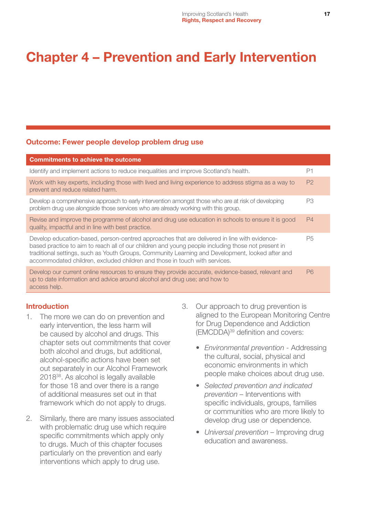## <span id="page-17-0"></span>Chapter 4 – Prevention and Early Intervention

#### Outcome: Fewer people develop problem drug use

| <b>Commitments to achieve the outcome</b>                                                                                                                                                                                                                                                                                                                                            |                |
|--------------------------------------------------------------------------------------------------------------------------------------------------------------------------------------------------------------------------------------------------------------------------------------------------------------------------------------------------------------------------------------|----------------|
| Identify and implement actions to reduce inequalities and improve Scotland's health.                                                                                                                                                                                                                                                                                                 | P1             |
| Work with key experts, including those with lived and living experience to address stigma as a way to<br>prevent and reduce related harm.                                                                                                                                                                                                                                            | P <sub>2</sub> |
| Develop a comprehensive approach to early intervention amongst those who are at risk of developing<br>problem drug use alongside those services who are already working with this group.                                                                                                                                                                                             | P3             |
| Revise and improve the programme of alcohol and drug use education in schools to ensure it is good<br>quality, impactful and in line with best practice.                                                                                                                                                                                                                             | P <sub>4</sub> |
| Develop education-based, person-centred approaches that are delivered in line with evidence-<br>based practice to aim to reach all of our children and young people including those not present in<br>traditional settings, such as Youth Groups, Community Learning and Development, looked after and<br>accommodated children, excluded children and those in touch with services. | P5             |
| Develop our current online resources to ensure they provide accurate, evidence-based, relevant and<br>up to date information and advice around alcohol and drug use; and how to<br>access help.                                                                                                                                                                                      | P <sub>6</sub> |

#### Introduction

- 1. The more we can do on prevention and early intervention, the less harm will be caused by alcohol and drugs. This chapter sets out commitments that cover both alcohol and drugs, but additional, alcohol-specific actions have been set out separately in our Alcohol Framework 201838. As alcohol is legally available for those 18 and over there is a range of additional measures set out in that framework which do not apply to drugs.
- 2. Similarly, there are many issues associated with problematic drug use which require specific commitments which apply only to drugs. Much of this chapter focuses particularly on the prevention and early interventions which apply to drug use.
- 3. Our approach to drug prevention is aligned to the European Monitoring Centre for Drug Dependence and Addiction (EMCDDA)39 definition and covers:
	- *Environmental prevention* Addressing the cultural, social, physical and economic environments in which people make choices about drug use.
	- *Selected prevention and indicated prevention –* Interventions with specific individuals, groups, families or communities who are more likely to develop drug use or dependence.
	- *Universal prevention* Improving drug education and awareness.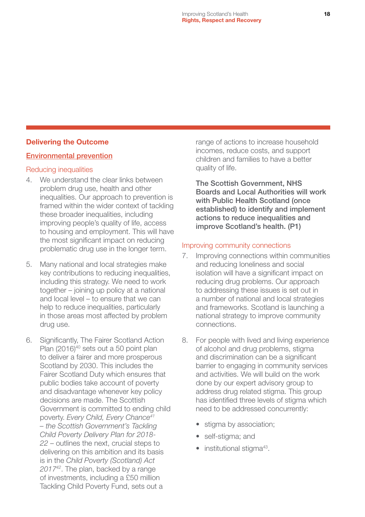#### Delivering the Outcome

#### Environmental prevention

#### Reducing inequalities

- 4. We understand the clear links between problem drug use, health and other inequalities. Our approach to prevention is framed within the wider context of tackling these broader inequalities, including improving people's quality of life, access to housing and employment. This will have the most significant impact on reducing problematic drug use in the longer term.
- 5. Many national and local strategies make key contributions to reducing inequalities, including this strategy. We need to work together – joining up policy at a national and local level – to ensure that we can help to reduce inequalities, particularly in those areas most affected by problem drug use.
- 6. Significantly, The Fairer Scotland Action Plan (2016)<sup>40</sup> sets out a 50 point plan to deliver a fairer and more prosperous Scotland by 2030. This includes the Fairer Scotland Duty which ensures that public bodies take account of poverty and disadvantage whenever key policy decisions are made. The Scottish Government is committed to ending child poverty. *Every Child, Every Chance41 – the Scottish Government's Tackling Child Poverty Delivery Plan for 2018- 22* – outlines the next, crucial steps to delivering on this ambition and its basis is in the *Child Poverty (Scotland) Act 201742*. The plan, backed by a range of investments, including a £50 million Tackling Child Poverty Fund, sets out a

range of actions to increase household incomes, reduce costs, and support children and families to have a better quality of life.

The Scottish Government, NHS Boards and Local Authorities will work with Public Health Scotland (once established) to identify and implement actions to reduce inequalities and improve Scotland's health. (P1)

#### Improving community connections

- 7. Improving connections within communities and reducing loneliness and social isolation will have a significant impact on reducing drug problems. Our approach to addressing these issues is set out in a number of national and local strategies and frameworks. Scotland is launching a national strategy to improve community connections.
- 8. For people with lived and living experience of alcohol and drug problems, stigma and discrimination can be a significant barrier to engaging in community services and activities. We will build on the work done by our expert advisory group to address drug related stigma. This group has identified three levels of stigma which need to be addressed concurrently:
	- stigma by association;
	- self-stigma; and
	- $\bullet$  institutional stigma<sup>43</sup>.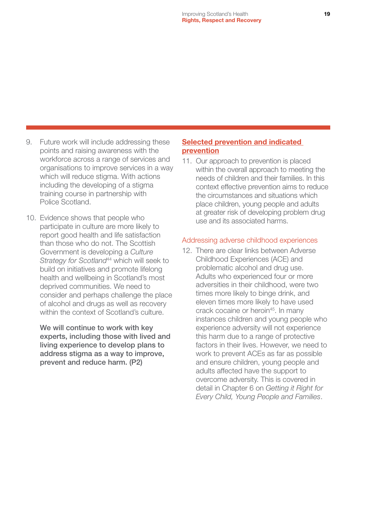- 9. Future work will include addressing these points and raising awareness with the workforce across a range of services and organisations to improve services in a way which will reduce stigma. With actions including the developing of a stigma training course in partnership with Police Scotland.
- 10. Evidence shows that people who participate in culture are more likely to report good health and life satisfaction than those who do not. The Scottish Government is developing a *Culture Strategy for Scotland*44 which will seek to build on initiatives and promote lifelong health and wellbeing in Scotland's most deprived communities. We need to consider and perhaps challenge the place of alcohol and drugs as well as recovery within the context of Scotland's culture.

We will continue to work with key experts, including those with lived and living experience to develop plans to address stigma as a way to improve, prevent and reduce harm. (P2)

#### Selected prevention and indicated prevention

11. Our approach to prevention is placed within the overall approach to meeting the needs of children and their families. In this context effective prevention aims to reduce the circumstances and situations which place children, young people and adults at greater risk of developing problem drug use and its associated harms.

#### Addressing adverse childhood experiences

12. There are clear links between Adverse Childhood Experiences (ACE) and problematic alcohol and drug use. Adults who experienced four or more adversities in their childhood, were two times more likely to binge drink, and eleven times more likely to have used crack cocaine or heroin<sup>45</sup>. In many instances children and young people who experience adversity will not experience this harm due to a range of protective factors in their lives. However, we need to work to prevent ACEs as far as possible and ensure children, young people and adults affected have the support to overcome adversity. This is covered in detail in Chapter 6 on *Getting it Right for Every Child, Young People and Families*.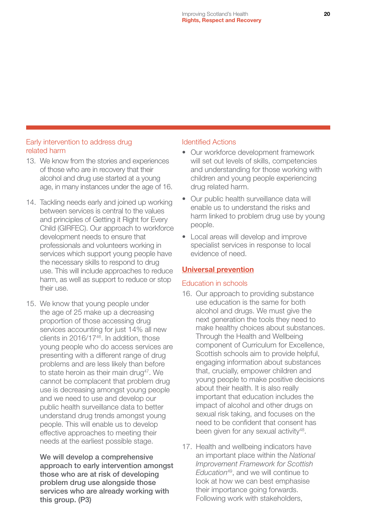#### Early intervention to address drug related harm

- 13. We know from the stories and experiences of those who are in recovery that their alcohol and drug use started at a young age, in many instances under the age of 16.
- 14. Tackling needs early and joined up working between services is central to the values and principles of Getting it Right for Every Child (GIRFEC). Our approach to workforce development needs to ensure that professionals and volunteers working in services which support young people have the necessary skills to respond to drug use. This will include approaches to reduce harm, as well as support to reduce or stop their use.
- 15. We know that young people under the age of 25 make up a decreasing proportion of those accessing drug services accounting for just 14% all new clients in 2016/1746. In addition, those young people who do access services are presenting with a different range of drug problems and are less likely than before to state heroin as their main drug<sup>47</sup>. We cannot be complacent that problem drug use is decreasing amongst young people and we need to use and develop our public health surveillance data to better understand drug trends amongst young people. This will enable us to develop effective approaches to meeting their needs at the earliest possible stage.

We will develop a comprehensive approach to early intervention amongst those who are at risk of developing problem drug use alongside those services who are already working with this group. (P3)

#### Identified Actions

- Our workforce development framework will set out levels of skills, competencies and understanding for those working with children and young people experiencing drug related harm.
- Our public health surveillance data will enable us to understand the risks and harm linked to problem drug use by young people.
- Local areas will develop and improve specialist services in response to local evidence of need.

#### Universal prevention

#### Education in schools

- 16. Our approach to providing substance use education is the same for both alcohol and drugs. We must give the next generation the tools they need to make healthy choices about substances. Through the Health and Wellbeing component of Curriculum for Excellence, Scottish schools aim to provide helpful, engaging information about substances that, crucially, empower children and young people to make positive decisions about their health. It is also really important that education includes the impact of alcohol and other drugs on sexual risk taking, and focuses on the need to be confident that consent has been given for any sexual activity<sup>48</sup>.
- 17. Health and wellbeing indicators have an important place within the *National Improvement Framework for Scottish Education*49, and we will continue to look at how we can best emphasise their importance going forwards. Following work with stakeholders,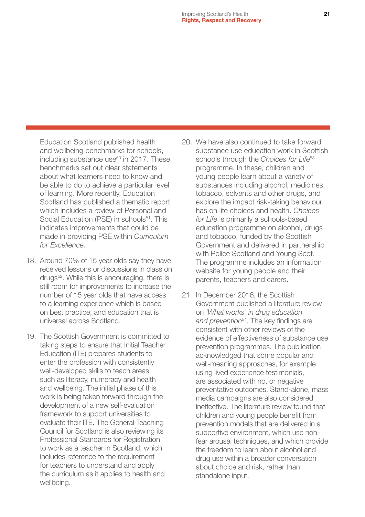Education Scotland published health and wellbeing benchmarks for schools, including substance use<sup>50</sup> in 2017. These benchmarks set out clear statements about what learners need to know and be able to do to achieve a particular level of learning. More recently, Education Scotland has published a thematic report which includes a review of Personal and Social Education (PSE) in schools<sup>51</sup>. This indicates improvements that could be made in providing PSE within *Curriculum for Excellence*.

- 18. Around 70% of 15 year olds say they have received lessons or discussions in class on drugs<sup>52</sup>. While this is encouraging, there is still room for improvements to increase the number of 15 year olds that have access to a learning experience which is based on best practice, and education that is universal across Scotland.
- 19. The Scottish Government is committed to taking steps to ensure that Initial Teacher Education (ITE) prepares students to enter the profession with consistently well-developed skills to teach areas such as literacy, numeracy and health and wellbeing. The initial phase of this work is being taken forward through the development of a new self-evaluation framework to support universities to evaluate their ITE. The General Teaching Council for Scotland is also reviewing its Professional Standards for Registration to work as a teacher in Scotland, which includes reference to the requirement for teachers to understand and apply the curriculum as it applies to health and wellbeing.
- 20. We have also continued to take forward substance use education work in Scottish schools through the *Choices for Life*<sup>53</sup> programme. In these, children and young people learn about a variety of substances including alcohol, medicines, tobacco, solvents and other drugs, and explore the impact risk-taking behaviour has on life choices and health. *Choices for Life* is primarily a schools-based education programme on alcohol, drugs and tobacco, funded by the Scottish Government and delivered in partnership with Police Scotland and Young Scot. The programme includes an information website for young people and their parents, teachers and carers.
- 21. In December 2016, the Scottish Government published a literature review on *'What works' in drug education and prevention*54. The key findings are consistent with other reviews of the evidence of effectiveness of substance use prevention programmes. The publication acknowledged that some popular and well-meaning approaches, for example using lived experience testimonials, are associated with no, or negative preventative outcomes. Stand-alone, mass media campaigns are also considered ineffective. The literature review found that children and young people benefit from prevention models that are delivered in a supportive environment, which use nonfear arousal techniques, and which provide the freedom to learn about alcohol and drug use within a broader conversation about choice and risk, rather than standalone input.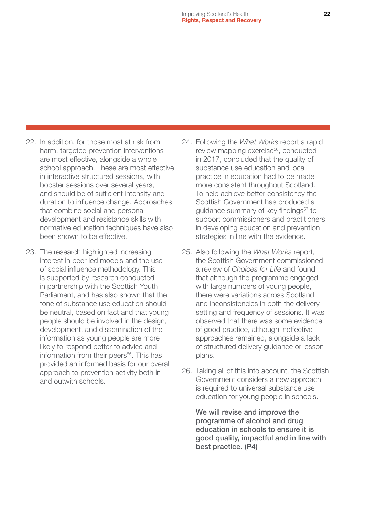- 22. In addition, for those most at risk from harm, targeted prevention interventions are most effective, alongside a whole school approach. These are most effective in interactive structured sessions, with booster sessions over several years, and should be of sufficient intensity and duration to influence change. Approaches that combine social and personal development and resistance skills with normative education techniques have also been shown to be effective.
- 23. The research highlighted increasing interest in peer led models and the use of social influence methodology. This is supported by research conducted in partnership with the Scottish Youth Parliament, and has also shown that the tone of substance use education should be neutral, based on fact and that young people should be involved in the design, development, and dissemination of the information as young people are more likely to respond better to advice and information from their peers<sup>55</sup>. This has provided an informed basis for our overall approach to prevention activity both in and outwith schools.
- 24. Following the *What Works* report a rapid review mapping exercise<sup>56</sup>, conducted in 2017, concluded that the quality of substance use education and local practice in education had to be made more consistent throughout Scotland. To help achieve better consistency the Scottish Government has produced a guidance summary of key findings<sup>57</sup> to support commissioners and practitioners in developing education and prevention strategies in line with the evidence.
- 25. Also following the *What Works* report, the Scottish Government commissioned a review of *Choices for Life* and found that although the programme engaged with large numbers of young people, there were variations across Scotland and inconsistencies in both the delivery, setting and frequency of sessions. It was observed that there was some evidence of good practice, although ineffective approaches remained, alongside a lack of structured delivery guidance or lesson plans.
- 26. Taking all of this into account, the Scottish Government considers a new approach is required to universal substance use education for young people in schools.

We will revise and improve the programme of alcohol and drug education in schools to ensure it is good quality, impactful and in line with best practice. (P4)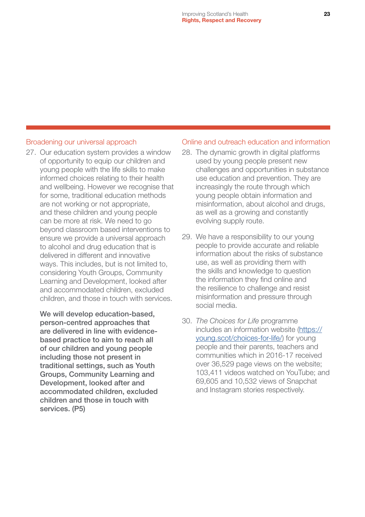#### Broadening our universal approach

27. Our education system provides a window of opportunity to equip our children and young people with the life skills to make informed choices relating to their health and wellbeing. However we recognise that for some, traditional education methods are not working or not appropriate, and these children and young people can be more at risk. We need to go beyond classroom based interventions to ensure we provide a universal approach to alcohol and drug education that is delivered in different and innovative ways. This includes, but is not limited to, considering Youth Groups, Community Learning and Development, looked after and accommodated children, excluded children, and those in touch with services.

We will develop education-based, person-centred approaches that are delivered in line with evidencebased practice to aim to reach all of our children and young people including those not present in traditional settings, such as Youth Groups, Community Learning and Development, looked after and accommodated children, excluded children and those in touch with services. (P5)

#### Online and outreach education and information

- 28. The dynamic growth in digital platforms used by young people present new challenges and opportunities in substance use education and prevention. They are increasingly the route through which young people obtain information and misinformation, about alcohol and drugs, as well as a growing and constantly evolving supply route.
- 29. We have a responsibility to our young people to provide accurate and reliable information about the risks of substance use, as well as providing them with the skills and knowledge to question the information they find online and the resilience to challenge and resist misinformation and pressure through social media.
- 30. *The Choices for Life* programme includes an information website [\(https://](https://young.scot/choices-for-life/) [young.scot/choices-for-life/](https://young.scot/choices-for-life/)) for young people and their parents, teachers and communities which in 2016-17 received over 36,529 page views on the website; 103,411 videos watched on YouTube; and 69,605 and 10,532 views of Snapchat and Instagram stories respectively.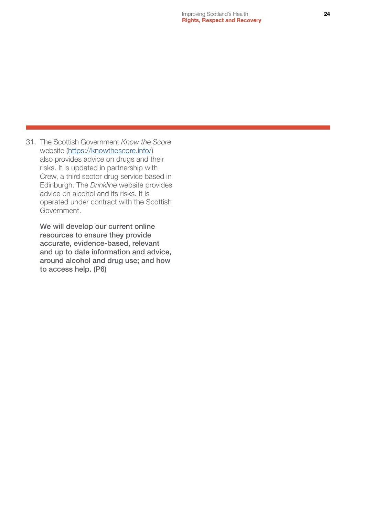31. The Scottish Government *Know the Score* website [\(https://knowthescore.info/](https://knowthescore.info/)) also provides advice on drugs and their risks. It is updated in partnership with Crew, a third sector drug service based in Edinburgh. The *Drinkline* website provides advice on alcohol and its risks. It is operated under contract with the Scottish Government.

We will develop our current online resources to ensure they provide accurate, evidence-based, relevant and up to date information and advice, around alcohol and drug use; and how to access help. (P6)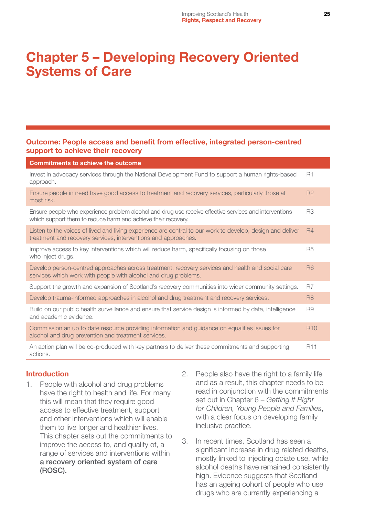## <span id="page-25-0"></span>Chapter 5 – Developing Recovery Oriented Systems of Care

#### Outcome: People access and benefit from effective, integrated person-centred support to achieve their recovery

| <b>Commitments to achieve the outcome</b>                                                                                                                                    |                |
|------------------------------------------------------------------------------------------------------------------------------------------------------------------------------|----------------|
| Invest in advocacy services through the National Development Fund to support a human rights-based<br>approach.                                                               | <b>R1</b>      |
| Ensure people in need have good access to treatment and recovery services, particularly those at<br>most risk.                                                               | <b>R2</b>      |
| Ensure people who experience problem alcohol and drug use receive effective services and interventions<br>which support them to reduce harm and achieve their recovery.      | R <sub>3</sub> |
| Listen to the voices of lived and living experience are central to our work to develop, design and deliver<br>treatment and recovery services, interventions and approaches. | <b>R4</b>      |
| Improve access to key interventions which will reduce harm, specifically focusing on those<br>who inject drugs.                                                              | <b>R5</b>      |
| Develop person-centred approaches across treatment, recovery services and health and social care<br>services which work with people with alcohol and drug problems.          | <b>R6</b>      |
| Support the growth and expansion of Scotland's recovery communities into wider community settings.                                                                           | R <sub>7</sub> |
| Develop trauma-informed approaches in alcohol and drug treatment and recovery services.                                                                                      | R <sub>8</sub> |
| Build on our public health surveillance and ensure that service design is informed by data, intelligence<br>and academic evidence.                                           | R <sub>9</sub> |
| Commission an up to date resource providing information and guidance on equalities issues for<br>alcohol and drug prevention and treatment services.                         | <b>R10</b>     |
| An action plan will be co-produced with key partners to deliver these commitments and supporting<br>actions.                                                                 | <b>R11</b>     |

#### Introduction

- 1. People with alcohol and drug problems have the right to health and life. For many this will mean that they require good access to effective treatment, support and other interventions which will enable them to live longer and healthier lives. This chapter sets out the commitments to improve the access to, and quality of, a range of services and interventions within a recovery oriented system of care (ROSC).
- 2. People also have the right to a family life and as a result, this chapter needs to be read in conjunction with the commitments set out in Chapter 6 – *Getting It Right for Children, Young People and Families*, with a clear focus on developing family inclusive practice.
- 3. In recent times, Scotland has seen a significant increase in drug related deaths, mostly linked to injecting opiate use, while alcohol deaths have remained consistently high. Evidence suggests that Scotland has an ageing cohort of people who use drugs who are currently experiencing a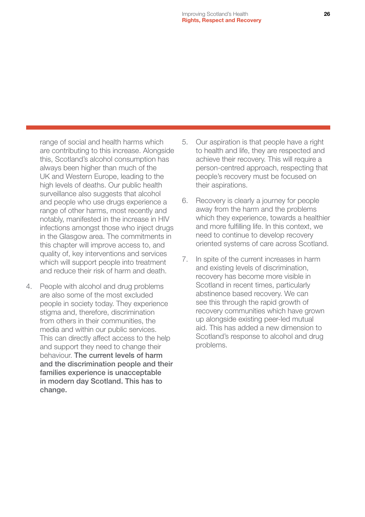range of social and health harms which are contributing to this increase. Alongside this, Scotland's alcohol consumption has always been higher than much of the UK and Western Europe, leading to the high levels of deaths. Our public health surveillance also suggests that alcohol and people who use drugs experience a range of other harms, most recently and notably, manifested in the increase in HIV infections amongst those who inject drugs in the Glasgow area. The commitments in this chapter will improve access to, and quality of, key interventions and services which will support people into treatment and reduce their risk of harm and death.

4. People with alcohol and drug problems are also some of the most excluded people in society today. They experience stigma and, therefore, discrimination from others in their communities, the media and within our public services. This can directly affect access to the help and support they need to change their behaviour. The current levels of harm and the discrimination people and their families experience is unacceptable in modern day Scotland. This has to change.

- 5. Our aspiration is that people have a right to health and life, they are respected and achieve their recovery. This will require a person-centred approach, respecting that people's recovery must be focused on their aspirations.
- 6. Recovery is clearly a journey for people away from the harm and the problems which they experience, towards a healthier and more fulfilling life. In this context, we need to continue to develop recovery oriented systems of care across Scotland.
- 7. In spite of the current increases in harm and existing levels of discrimination, recovery has become more visible in Scotland in recent times, particularly abstinence based recovery. We can see this through the rapid growth of recovery communities which have grown up alongside existing peer-led mutual aid. This has added a new dimension to Scotland's response to alcohol and drug problems.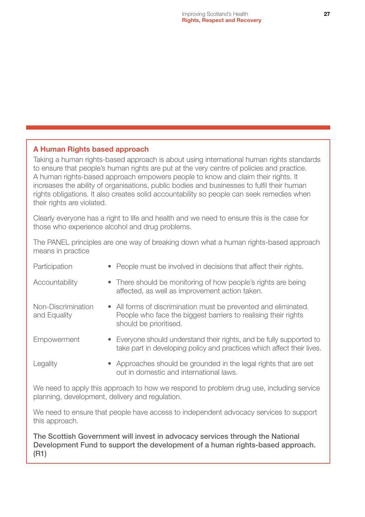#### A Human Rights based approach

Taking a human rights-based approach is about using international human rights standards to ensure that people's human rights are put at the very centre of policies and practice. A human rights-based approach empowers people to know and claim their rights. It increases the ability of organisations, public bodies and businesses to fulfil their human rights obligations. It also creates solid accountability so people can seek remedies when their rights are violated.

Clearly everyone has a right to life and health and we need to ensure this is the case for those who experience alcohol and drug problems.

The PANEL principles are one way of breaking down what a human rights-based approach means in practice

| Participation                      | • People must be involved in decisions that affect their rights.                                                                                            |
|------------------------------------|-------------------------------------------------------------------------------------------------------------------------------------------------------------|
| Accountability                     | • There should be monitoring of how people's rights are being<br>affected, as well as improvement action taken.                                             |
| Non-Discrimination<br>and Equality | • All forms of discrimination must be prevented and eliminated.<br>People who face the biggest barriers to realising their rights<br>should be prioritised. |
| Empowerment                        | • Everyone should understand their rights, and be fully supported to<br>take part in developing policy and practices which affect their lives.              |
| Legality                           | • Approaches should be grounded in the legal rights that are set<br>out in domestic and international laws.                                                 |

We need to apply this approach to how we respond to problem drug use, including service planning, development, delivery and regulation.

We need to ensure that people have access to independent advocacy services to support this approach.

The Scottish Government will invest in advocacy services through the National Development Fund to support the development of a human rights-based approach. (R1)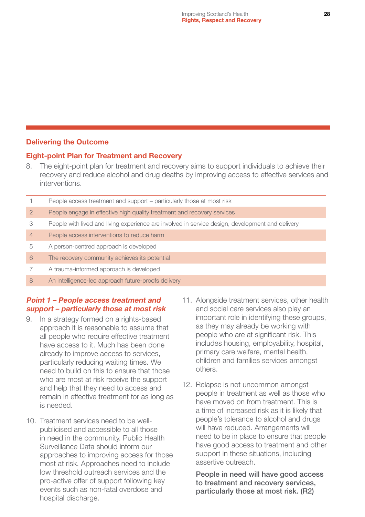#### Delivering the Outcome

#### Eight-point Plan for Treatment and Recovery

8. The eight-point plan for treatment and recovery aims to support individuals to achieve their recovery and reduce alcohol and drug deaths by improving access to effective services and interventions.

|                | People access treatment and support - particularly those at most risk                            |
|----------------|--------------------------------------------------------------------------------------------------|
| $\overline{2}$ | People engage in effective high quality treatment and recovery services                          |
| 3              | People with lived and living experience are involved in service design, development and delivery |
| $\overline{4}$ | People access interventions to reduce harm                                                       |
| 5              | A person-centred approach is developed                                                           |
| 6              | The recovery community achieves its potential                                                    |
|                | A trauma-informed approach is developed                                                          |
| 8              | An intelligence-led approach future-proofs delivery                                              |

#### Point 1 – People access treatment and support – particularly those at most risk

- 9. In a strategy formed on a rights-based approach it is reasonable to assume that all people who require effective treatment have access to it. Much has been done already to improve access to services, particularly reducing waiting times. We need to build on this to ensure that those who are most at risk receive the support and help that they need to access and remain in effective treatment for as long as is needed.
- 10. Treatment services need to be wellpublicised and accessible to all those in need in the community. Public Health Surveillance Data should inform our approaches to improving access for those most at risk. Approaches need to include low threshold outreach services and the pro-active offer of support following key events such as non-fatal overdose and hospital discharge.
- 11. Alongside treatment services, other health and social care services also play an important role in identifying these groups, as they may already be working with people who are at significant risk. This includes housing, employability, hospital, primary care welfare, mental health, children and families services amongst others.
- 12. Relapse is not uncommon amongst people in treatment as well as those who have moved on from treatment. This is a time of increased risk as it is likely that people's tolerance to alcohol and drugs will have reduced. Arrangements will need to be in place to ensure that people have good access to treatment and other support in these situations, including assertive outreach.

People in need will have good access to treatment and recovery services, particularly those at most risk. (R2)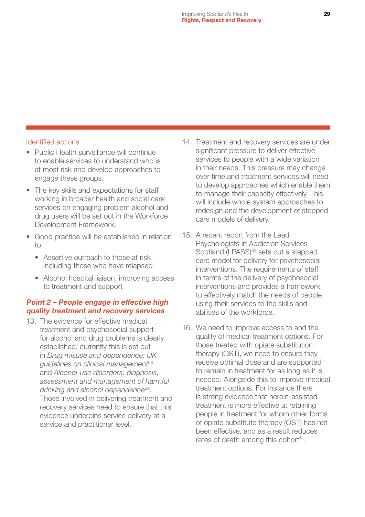#### Identified actions

- Public Health surveillance will continue to enable services to understand who is at most risk and develop approaches to engage these groups.
- The key skills and expectations for staff working in broader health and social care services on engaging problem alcohol and drug users will be set out in the Workforce Development Framework.
- Good practice will be established in relation to:
	- Assertive outreach to those at risk including those who have relapsed
	- Alcohol hospital liaison, improving access to treatment and support

#### Point 2 – People engage in effective high quality treatment and recovery services

13. The evidence for effective medical treatment and psychosocial support for alcohol and drug problems is clearly established; currently this is set out in *Drug misuse and dependence: UK guidelines on clinical management*<sup>58</sup> and *Alcohol-use disorders: diagnosis, assessment and management of harmful drinking and alcohol dependence*59. Those involved in delivering treatment and recovery services need to ensure that this evidence underpins service delivery at a service and practitioner level.

- 14. Treatment and recovery services are under significant pressure to deliver effective services to people with a wide variation in their needs. This pressure may change over time and treatment services will need to develop approaches which enable them to manage their capacity effectively. This will include whole system approaches to redesign and the development of stepped care models of delivery.
- 15. A recent report from the Lead Psychologists in Addiction Services Scotland (LPASS)<sup>60</sup> sets out a stepped care model for delivery for psychosocial interventions. The requirements of staff in terms of the delivery of psychosocial interventions and provides a framework to effectively match the needs of people using their services to the skills and abilities of the workforce.
- 16. We need to improve access to and the quality of medical treatment options. For those treated with opiate substitution therapy (OST), we need to ensure they receive optimal dose and are supported to remain in treatment for as long as it is needed. Alongside this to improve medical treatment options. For instance there is strong evidence that heroin-assisted treatment is more effective at retaining people in treatment for whom other forms of opiate substitute therapy (OST) has not been effective, and as a result reduces rates of death among this cohort<sup>61</sup>.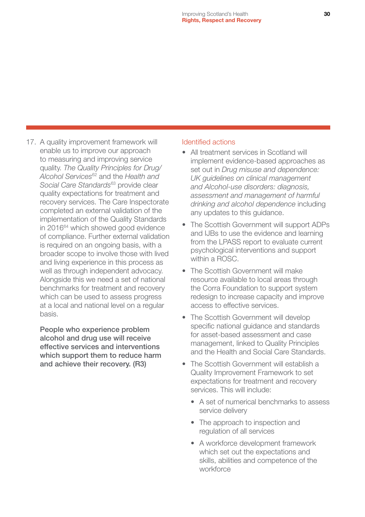17. A quality improvement framework will enable us to improve our approach to measuring and improving service quality. *The Quality Principles for Drug/ Alcohol Services*62 and the *Health and Social Care Standards*63 provide clear quality expectations for treatment and recovery services. The Care Inspectorate completed an external validation of the implementation of the Quality Standards in 2016<sup>64</sup> which showed good evidence of compliance. Further external validation is required on an ongoing basis, with a broader scope to involve those with lived and living experience in this process as well as through independent advocacy. Alongside this we need a set of national benchmarks for treatment and recovery which can be used to assess progress at a local and national level on a regular basis.

People who experience problem alcohol and drug use will receive effective services and interventions which support them to reduce harm and achieve their recovery. (R3)

#### Identified actions

- All treatment services in Scotland will implement evidence-based approaches as set out in *Drug misuse and dependence: UK guidelines on clinical management and Alcohol-use disorders: diagnosis, assessment and management of harmful drinking and alcohol dependence* including any updates to this guidance.
- The Scottish Government will support ADPs and IJBs to use the evidence and learning from the LPASS report to evaluate current psychological interventions and support within a ROSC.
- The Scottish Government will make resource available to local areas through the Corra Foundation to support system redesign to increase capacity and improve access to effective services.
- The Scottish Government will develop specific national guidance and standards for asset-based assessment and case management, linked to Quality Principles and the Health and Social Care Standards.
- The Scottish Government will establish a Quality Improvement Framework to set expectations for treatment and recovery services. This will include:
	- A set of numerical benchmarks to assess service delivery
	- The approach to inspection and regulation of all services
	- A workforce development framework which set out the expectations and skills, abilities and competence of the workforce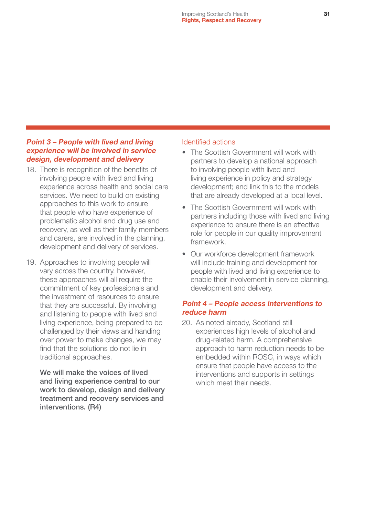#### Point 3 – People with lived and living experience will be involved in service design, development and delivery

- 18. There is recognition of the benefits of involving people with lived and living experience across health and social care services. We need to build on existing approaches to this work to ensure that people who have experience of problematic alcohol and drug use and recovery, as well as their family members and carers, are involved in the planning, development and delivery of services.
- 19. Approaches to involving people will vary across the country, however, these approaches will all require the commitment of key professionals and the investment of resources to ensure that they are successful. By involving and listening to people with lived and living experience, being prepared to be challenged by their views and handing over power to make changes, we may find that the solutions do not lie in traditional approaches.

We will make the voices of lived and living experience central to our work to develop, design and delivery treatment and recovery services and interventions. (R4)

#### Identified actions

- The Scottish Government will work with partners to develop a national approach to involving people with lived and living experience in policy and strategy development; and link this to the models that are already developed at a local level.
- The Scottish Government will work with partners including those with lived and living experience to ensure there is an effective role for people in our quality improvement framework.
- Our workforce development framework will include training and development for people with lived and living experience to enable their involvement in service planning, development and delivery.

#### Point 4 – People access interventions to reduce harm

20. As noted already, Scotland still experiences high levels of alcohol and drug-related harm. A comprehensive approach to harm reduction needs to be embedded within ROSC, in ways which ensure that people have access to the interventions and supports in settings which meet their needs.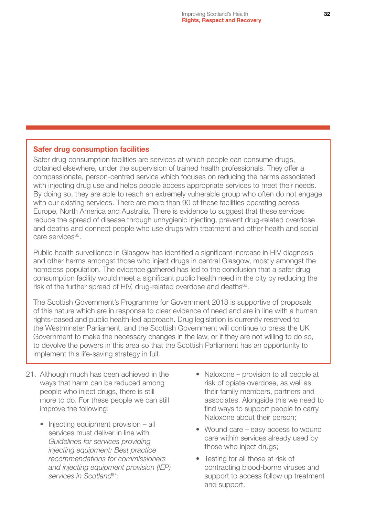#### Safer drug consumption facilities

Safer drug consumption facilities are services at which people can consume drugs, obtained elsewhere, under the supervision of trained health professionals. They offer a compassionate, person-centred service which focuses on reducing the harms associated with injecting drug use and helps people access appropriate services to meet their needs. By doing so, they are able to reach an extremely vulnerable group who often do not engage with our existing services. There are more than 90 of these facilities operating across Europe, North America and Australia. There is evidence to suggest that these services reduce the spread of disease through unhygienic injecting, prevent drug-related overdose and deaths and connect people who use drugs with treatment and other health and social care services65.

Public health surveillance in Glasgow has identified a significant increase in HIV diagnosis and other harms amongst those who inject drugs in central Glasgow, mostly amongst the homeless population. The evidence gathered has led to the conclusion that a safer drug consumption facility would meet a significant public health need in the city by reducing the risk of the further spread of HIV, drug-related overdose and deaths<sup>66</sup>.

The Scottish Government's Programme for Government 2018 is supportive of proposals of this nature which are in response to clear evidence of need and are in line with a human rights-based and public health-led approach. Drug legislation is currently reserved to the Westminster Parliament, and the Scottish Government will continue to press the UK Government to make the necessary changes in the law, or if they are not willing to do so, to devolve the powers in this area so that the Scottish Parliament has an opportunity to implement this life-saving strategy in full.

- 21. Although much has been achieved in the ways that harm can be reduced among people who inject drugs, there is still more to do. For these people we can still improve the following:
	- Injecting equipment provision all services must deliver in line with *Guidelines for services providing injecting equipment: Best practice recommendations for commissioners and injecting equipment provision (IEP) services in Scotland*<sup>67</sup>*;*
- Naloxone provision to all people at risk of opiate overdose, as well as their family members, partners and associates. Alongside this we need to find ways to support people to carry Naloxone about their person;
- Wound care easy access to wound care within services already used by those who inject drugs;
- Testing for all those at risk of contracting blood-borne viruses and support to access follow up treatment and support.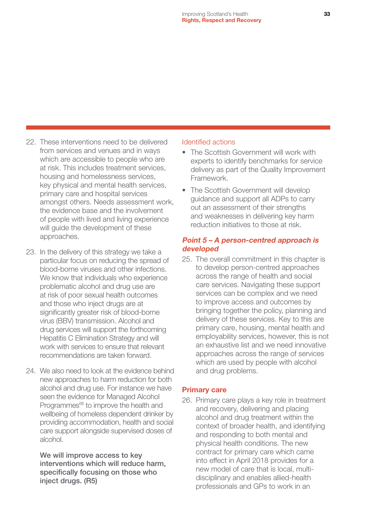- 22. These interventions need to be delivered from services and venues and in ways which are accessible to people who are at risk. This includes treatment services, housing and homelessness services, key physical and mental health services, primary care and hospital services amongst others. Needs assessment work, the evidence base and the involvement of people with lived and living experience will guide the development of these approaches.
- 23. In the delivery of this strategy we take a particular focus on reducing the spread of blood-borne viruses and other infections. We know that individuals who experience problematic alcohol and drug use are at risk of poor sexual health outcomes and those who inject drugs are at significantly greater risk of blood-borne virus (BBV) transmission. Alcohol and drug services will support the forthcoming Hepatitis C Elimination Strategy and will work with services to ensure that relevant recommendations are taken forward.
- 24. We also need to look at the evidence behind new approaches to harm reduction for both alcohol and drug use. For instance we have seen the evidence for Managed Alcohol Programmes<sup>68</sup> to improve the health and wellbeing of homeless dependent drinker by providing accommodation, health and social care support alongside supervised doses of alcohol.

We will improve access to key interventions which will reduce harm, specifically focusing on those who inject drugs. (R5)

#### Identified actions

- The Scottish Government will work with experts to identify benchmarks for service delivery as part of the Quality Improvement Framework.
- The Scottish Government will develop guidance and support all ADPs to carry out an assessment of their strengths and weaknesses in delivering key harm reduction initiatives to those at risk.

#### Point 5 – A person-centred approach is developed

25. The overall commitment in this chapter is to develop person-centred approaches across the range of health and social care services. Navigating these support services can be complex and we need to improve access and outcomes by bringing together the policy, planning and delivery of these services. Key to this are primary care, housing, mental health and employability services, however, this is not an exhaustive list and we need innovative approaches across the range of services which are used by people with alcohol and drug problems.

#### Primary care

26. Primary care plays a key role in treatment and recovery, delivering and placing alcohol and drug treatment within the context of broader health, and identifying and responding to both mental and physical health conditions. The new contract for primary care which came into effect in April 2018 provides for a new model of care that is local, multidisciplinary and enables allied-health professionals and GPs to work in an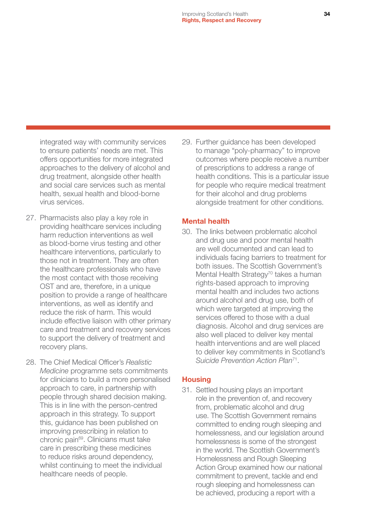integrated way with community services to ensure patients' needs are met. This offers opportunities for more integrated approaches to the delivery of alcohol and drug treatment, alongside other health and social care services such as mental health, sexual health and blood-borne virus services.

- 27. Pharmacists also play a key role in providing healthcare services including harm reduction interventions as well as blood-borne virus testing and other healthcare interventions, particularly to those not in treatment. They are often the healthcare professionals who have the most contact with those receiving OST and are, therefore, in a unique position to provide a range of healthcare interventions, as well as identify and reduce the risk of harm. This would include effective liaison with other primary care and treatment and recovery services to support the delivery of treatment and recovery plans.
- 28. The Chief Medical Officer's *Realistic Medicine* programme sets commitments for clinicians to build a more personalised approach to care, in partnership with people through shared decision making. This is in line with the person-centred approach in this strategy. To support this, guidance has been published on improving prescribing in relation to chronic pain<sup>69</sup>. Clinicians must take care in prescribing these medicines to reduce risks around dependency, whilst continuing to meet the individual healthcare needs of people.

29. Further guidance has been developed to manage "poly-pharmacy" to improve outcomes where people receive a number of prescriptions to address a range of health conditions. This is a particular issue for people who require medical treatment for their alcohol and drug problems alongside treatment for other conditions.

#### Mental health

30. The links between problematic alcohol and drug use and poor mental health are well documented and can lead to individuals facing barriers to treatment for both issues. The Scottish Government's Mental Health Strategy<sup>70</sup> takes a human rights-based approach to improving mental health and includes two actions around alcohol and drug use, both of which were targeted at improving the services offered to those with a dual diagnosis. Alcohol and drug services are also well placed to deliver key mental health interventions and are well placed to deliver key commitments in Scotland's *Suicide Prevention Action Plan*71.

#### **Housing**

31. Settled housing plays an important role in the prevention of, and recovery from, problematic alcohol and drug use. The Scottish Government remains committed to ending rough sleeping and homelessness, and our legislation around homelessness is some of the strongest in the world. The Scottish Government's Homelessness and Rough Sleeping Action Group examined how our national commitment to prevent, tackle and end rough sleeping and homelessness can be achieved, producing a report with a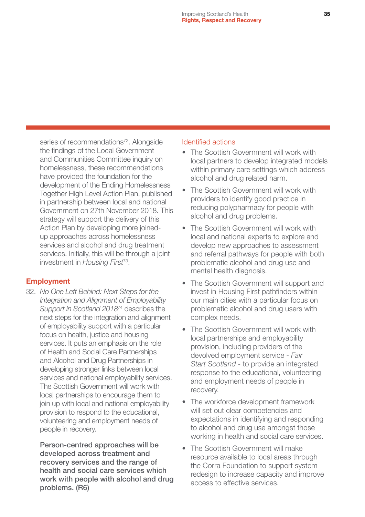series of recommendations<sup>72</sup>. Alongside the findings of the Local Government and Communities Committee inquiry on homelessness, these recommendations have provided the foundation for the development of the Ending Homelessness Together High Level Action Plan, published in partnership between local and national Government on 27th November 2018. This strategy will support the delivery of this Action Plan by developing more joinedup approaches across homelessness services and alcohol and drug treatment services. Initially, this will be through a joint investment in *Housing First*73.

#### Employment

32. *No One Left Behind: Next Steps for the Integration and Alignment of Employability Support in Scotland 2018*74 describes the next steps for the integration and alignment of employability support with a particular focus on health, justice and housing services. It puts an emphasis on the role of Health and Social Care Partnerships and Alcohol and Drug Partnerships in developing stronger links between local services and national employability services. The Scottish Government will work with local partnerships to encourage them to join up with local and national employability provision to respond to the educational, volunteering and employment needs of people in recovery.

Person-centred approaches will be developed across treatment and recovery services and the range of health and social care services which work with people with alcohol and drug problems. (R6)

#### Identified actions

- The Scottish Government will work with local partners to develop integrated models within primary care settings which address alcohol and drug related harm.
- The Scottish Government will work with providers to identify good practice in reducing polypharmacy for people with alcohol and drug problems.
- The Scottish Government will work with local and national experts to explore and develop new approaches to assessment and referral pathways for people with both problematic alcohol and drug use and mental health diagnosis.
- The Scottish Government will support and invest in Housing First pathfinders within our main cities with a particular focus on problematic alcohol and drug users with complex needs.
- The Scottish Government will work with local partnerships and employability provision, including providers of the devolved employment service - *Fair Start Scotland* - to provide an integrated response to the educational, volunteering and employment needs of people in recovery.
- The workforce development framework will set out clear competencies and expectations in identifying and responding to alcohol and drug use amongst those working in health and social care services.
- The Scottish Government will make resource available to local areas through the Corra Foundation to support system redesign to increase capacity and improve access to effective services.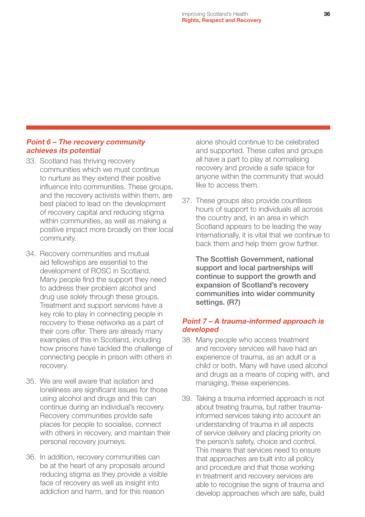#### Point 6 – The recovery community achieves its potential

- 33. Scotland has thriving recovery communities which we must continue to nurture as they extend their positive influence into communities. These groups, and the recovery activists within them, are best placed to lead on the development of recovery capital and reducing stigma within communities, as well as making a positive impact more broadly on their local community.
- 34. Recovery communities and mutual aid fellowships are essential to the development of ROSC in Scotland. Many people find the support they need to address their problem alcohol and drug use solely through these groups. Treatment and support services have a key role to play in connecting people in recovery to these networks as a part of their core offer. There are already many examples of this in Scotland, including how prisons have tackled the challenge of connecting people in prison with others in recovery.
- 35. We are well aware that isolation and loneliness are significant issues for those using alcohol and drugs and this can continue during an individual's recovery. Recovery communities provide safe places for people to socialise, connect with others in recovery, and maintain their personal recovery journeys.
- 36. In addition, recovery communities can be at the heart of any proposals around reducing stigma as they provide a visible face of recovery as well as insight into addiction and harm, and for this reason

alone should continue to be celebrated and supported. These cafes and groups all have a part to play at normalising recovery and provide a safe space for anyone within the community that would like to access them.

37. These groups also provide countless hours of support to individuals all across the country and, in an area in which Scotland appears to be leading the way internationally, it is vital that we continue to back them and help them grow further.

The Scottish Government, national support and local partnerships will continue to support the growth and expansion of Scotland's recovery communities into wider community settings. (R7)

#### Point 7 – A trauma-informed approach is developed

- 38. Many people who access treatment and recovery services will have had an experience of trauma, as an adult or a child or both. Many will have used alcohol and drugs as a means of coping with, and managing, these experiences.
- 39. Taking a trauma informed approach is not about treating trauma, but rather traumainformed services taking into account an understanding of trauma in all aspects of service delivery and placing priority on the person's safety, choice and control. This means that services need to ensure that approaches are built into all policy and procedure and that those working in treatment and recovery services are able to recognise the signs of trauma and develop approaches which are safe, build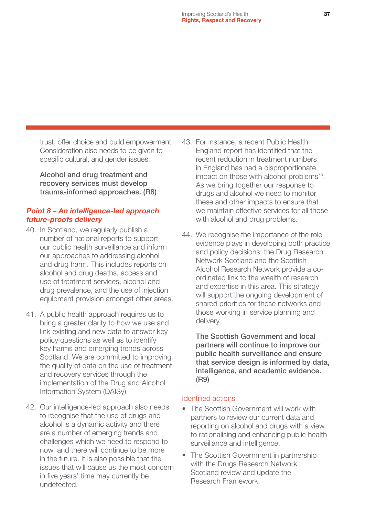trust, offer choice and build empowerment. Consideration also needs to be given to specific cultural, and gender issues.

Alcohol and drug treatment and recovery services must develop trauma-informed approaches. (R8)

#### Point 8 – An intelligence-led approach future-proofs delivery

- 40. In Scotland, we regularly publish a number of national reports to support our public health surveillance and inform our approaches to addressing alcohol and drug harm. This includes reports on alcohol and drug deaths, access and use of treatment services, alcohol and drug prevalence, and the use of injection equipment provision amongst other areas.
- 41. A public health approach requires us to bring a greater clarity to how we use and link existing and new data to answer key policy questions as well as to identify key harms and emerging trends across Scotland. We are committed to improving the quality of data on the use of treatment and recovery services through the implementation of the Drug and Alcohol Information System (DAISy).
- 42. Our intelligence-led approach also needs to recognise that the use of drugs and alcohol is a dynamic activity and there are a number of emerging trends and challenges which we need to respond to now, and there will continue to be more in the future. It is also possible that the issues that will cause us the most concern in five years' time may currently be undetected.
- 43. For instance, a recent Public Health England report has identified that the recent reduction in treatment numbers in England has had a disproportionate impact on those with alcohol problems<sup>75</sup>. As we bring together our response to drugs and alcohol we need to monitor these and other impacts to ensure that we maintain effective services for all those with alcohol and drug problems.
- 44. We recognise the importance of the role evidence plays in developing both practice and policy decisions; the Drug Research Network Scotland and the Scottish Alcohol Research Network provide a coordinated link to the wealth of research and expertise in this area. This strategy will support the ongoing development of shared priorities for these networks and those working in service planning and delivery.

The Scottish Government and local partners will continue to improve our public health surveillance and ensure that service design is informed by data, intelligence, and academic evidence. (R9)

#### Identified actions

- The Scottish Government will work with partners to review our current data and reporting on alcohol and drugs with a view to rationalising and enhancing public health surveillance and intelligence.
- The Scottish Government in partnership with the Drugs Research Network Scotland review and update the Research Framework.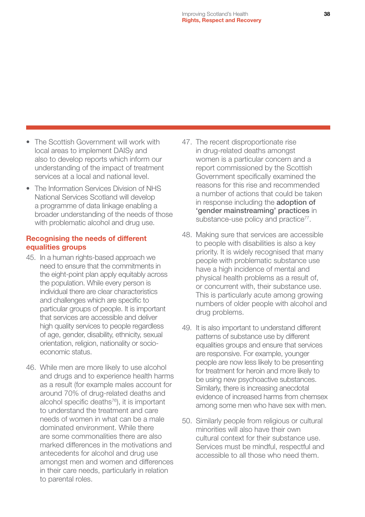- The Scottish Government will work with local areas to implement DAISy and also to develop reports which inform our understanding of the impact of treatment services at a local and national level.
- The Information Services Division of NHS National Services Scotland will develop a programme of data linkage enabling a broader understanding of the needs of those with problematic alcohol and drug use.

#### Recognising the needs of different equalities groups

- 45. In a human rights-based approach we need to ensure that the commitments in the eight-point plan apply equitably across the population. While every person is individual there are clear characteristics and challenges which are specific to particular groups of people. It is important that services are accessible and deliver high quality services to people regardless of age, gender, disability, ethnicity, sexual orientation, religion, nationality or socioeconomic status.
- 46. While men are more likely to use alcohol and drugs and to experience health harms as a result (for example males account for around 70% of drug-related deaths and alcohol specific deaths $^{76}$ ), it is important to understand the treatment and care needs of women in what can be a male dominated environment. While there are some commonalities there are also marked differences in the motivations and antecedents for alcohol and drug use amongst men and women and differences in their care needs, particularly in relation to parental roles.
- 47. The recent disproportionate rise in drug-related deaths amongst women is a particular concern and a report commissioned by the Scottish Government specifically examined the reasons for this rise and recommended a number of actions that could be taken in response including the adoption of 'gender mainstreaming' practices in substance-use policy and practice<sup>77</sup>.
- 48. Making sure that services are accessible to people with disabilities is also a key priority. It is widely recognised that many people with problematic substance use have a high incidence of mental and physical health problems as a result of, or concurrent with, their substance use. This is particularly acute among growing numbers of older people with alcohol and drug problems.
- 49. It is also important to understand different patterns of substance use by different equalities groups and ensure that services are responsive. For example, younger people are now less likely to be presenting for treatment for heroin and more likely to be using new psychoactive substances. Similarly, there is increasing anecdotal evidence of increased harms from chemsex among some men who have sex with men.
- 50. Similarly people from religious or cultural minorities will also have their own cultural context for their substance use. Services must be mindful, respectful and accessible to all those who need them.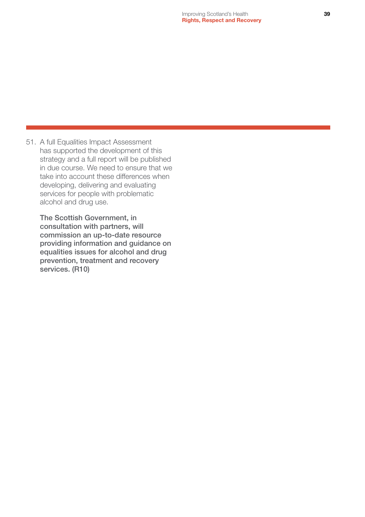51. A full Equalities Impact Assessment has supported the development of this strategy and a full report will be published in due course. We need to ensure that we take into account these differences when developing, delivering and evaluating services for people with problematic alcohol and drug use.

The Scottish Government, in consultation with partners, will commission an up-to-date resource providing information and guidance on equalities issues for alcohol and drug prevention, treatment and recovery services. (R10)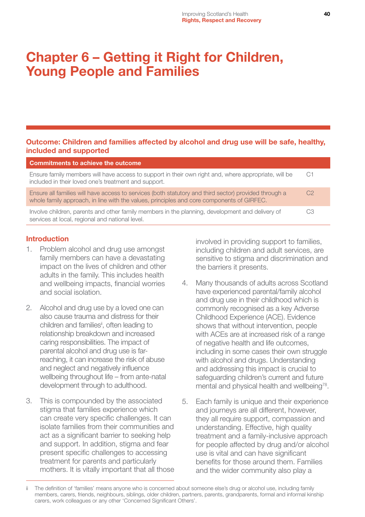## <span id="page-40-0"></span>Chapter 6 – Getting it Right for Children, Young People and Families

#### Outcome: Children and families affected by alcohol and drug use will be safe, healthy, included and supported

| Commitments to achieve the outcome                                                                                                                                                                 |                |
|----------------------------------------------------------------------------------------------------------------------------------------------------------------------------------------------------|----------------|
| Ensure family members will have access to support in their own right and, where appropriate, will be<br>included in their loved one's treatment and support.                                       | C1             |
| Ensure all families will have access to services (both statutory and third sector) provided through a<br>whole family approach, in line with the values, principles and core components of GIRFEC. | C <sub>2</sub> |
| Involve children, parents and other family members in the planning, development and delivery of<br>services at local, regional and national level.                                                 | CЗ             |

#### Introduction

- 1. Problem alcohol and drug use amongst family members can have a devastating impact on the lives of children and other adults in the family. This includes health and wellbeing impacts, financial worries and social isolation.
- 2. Alcohol and drug use by a loved one can also cause trauma and distress for their children and families<sup>i</sup>, often leading to relationship breakdown and increased caring responsibilities. The impact of parental alcohol and drug use is farreaching, it can increase the risk of abuse and neglect and negatively influence wellbeing throughout life – from ante-natal development through to adulthood.
- 3. This is compounded by the associated stigma that families experience which can create very specific challenges. It can isolate families from their communities and act as a significant barrier to seeking help and support. In addition, stigma and fear present specific challenges to accessing treatment for parents and particularly mothers. It is vitally important that all those

involved in providing support to families, including children and adult services, are sensitive to stigma and discrimination and the barriers it presents.

- 4. Many thousands of adults across Scotland have experienced parental/family alcohol and drug use in their childhood which is commonly recognised as a key Adverse Childhood Experience (ACE). Evidence shows that without intervention, people with ACEs are at increased risk of a range of negative health and life outcomes, including in some cases their own struggle with alcohol and drugs. Understanding and addressing this impact is crucial to safeguarding children's current and future mental and physical health and wellbeing<sup>78</sup>.
- 5. Each family is unique and their experience and journeys are all different, however, they all require support, compassion and understanding. Effective, high quality treatment and a family-inclusive approach for people affected by drug and/or alcohol use is vital and can have significant benefits for those around them. Families and the wider community also play a

The definition of 'families' means anyone who is concerned about someone else's drug or alcohol use, including family members, carers, friends, neighbours, siblings, older children, partners, parents, grandparents, formal and informal kinship carers, work colleagues or any other 'Concerned Significant Others'.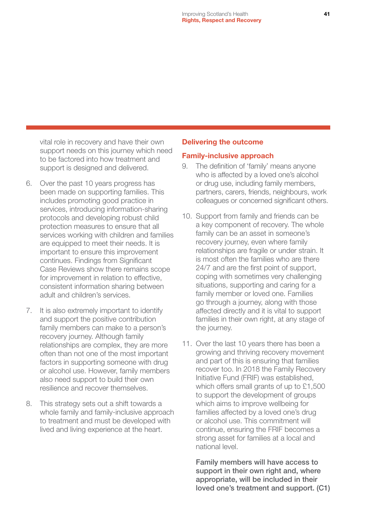vital role in recovery and have their own support needs on this journey which need to be factored into how treatment and support is designed and delivered.

- 6. Over the past 10 years progress has been made on supporting families. This includes promoting good practice in services, introducing information-sharing protocols and developing robust child protection measures to ensure that all services working with children and families are equipped to meet their needs. It is important to ensure this improvement continues. Findings from Significant Case Reviews show there remains scope for improvement in relation to effective, consistent information sharing between adult and children's services.
- 7. It is also extremely important to identify and support the positive contribution family members can make to a person's recovery journey. Although family relationships are complex, they are more often than not one of the most important factors in supporting someone with drug or alcohol use. However, family members also need support to build their own resilience and recover themselves.
- 8. This strategy sets out a shift towards a whole family and family-inclusive approach to treatment and must be developed with lived and living experience at the heart.

#### Delivering the outcome

#### Family-inclusive approach

- 9. The definition of 'family' means anyone who is affected by a loved one's alcohol or drug use, including family members, partners, carers, friends, neighbours, work colleagues or concerned significant others.
- 10. Support from family and friends can be a key component of recovery. The whole family can be an asset in someone's recovery journey, even where family relationships are fragile or under strain. It is most often the families who are there 24/7 and are the first point of support, coping with sometimes very challenging situations, supporting and caring for a family member or loved one. Families go through a journey, along with those affected directly and it is vital to support families in their own right, at any stage of the journey.
- 11. Over the last 10 years there has been a growing and thriving recovery movement and part of this is ensuring that families recover too. In 2018 the Family Recovery Initiative Fund (FRIF) was established, which offers small grants of up to £1,500 to support the development of groups which aims to improve wellbeing for families affected by a loved one's drug or alcohol use. This commitment will continue, ensuring the FRIF becomes a strong asset for families at a local and national level.

Family members will have access to support in their own right and, where appropriate, will be included in their loved one's treatment and support. (C1)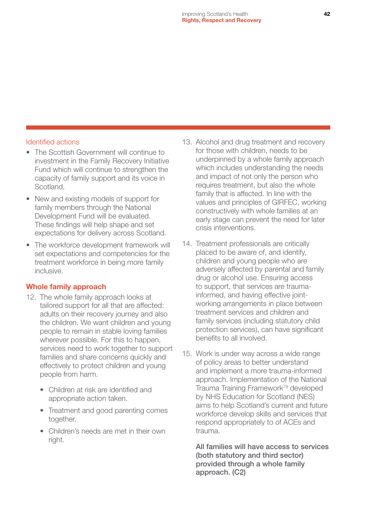#### Identified actions

- The Scottish Government will continue to investment in the Family Recovery Initiative Fund which will continue to strengthen the capacity of family support and its voice in Scotland.
- New and existing models of support for family members through the National Development Fund will be evaluated. These findings will help shape and set expectations for delivery across Scotland.
- The workforce development framework will set expectations and competencies for the treatment workforce in being more family inclusive.

#### Whole family approach

- 12. The whole family approach looks at tailored support for all that are affected: adults on their recovery journey and also the children. We want children and young people to remain in stable loving families wherever possible. For this to happen, services need to work together to support families and share concerns quickly and effectively to protect children and young people from harm.
	- Children at risk are identified and appropriate action taken.
	- Treatment and good parenting comes together.
	- Children's needs are met in their own right.
- 13. Alcohol and drug treatment and recovery for those with children, needs to be underpinned by a whole family approach which includes understanding the needs and impact of not only the person who requires treatment, but also the whole family that is affected. In line with the values and principles of GIRFEC, working constructively with whole families at an early stage can prevent the need for later crisis interventions.
- 14. Treatment professionals are critically placed to be aware of, and identify, children and young people who are adversely affected by parental and family drug or alcohol use. Ensuring access to support, that services are traumainformed, and having effective jointworking arrangements in place between treatment services and children and family services (including statutory child protection services), can have significant benefits to all involved.
- 15. Work is under way across a wide range of policy areas to better understand and implement a more trauma-informed approach. Implementation of the National Trauma Training Framework<sup>79</sup> developed by NHS Education for Scotland (NES) aims to help Scotland's current and future workforce develop skills and services that respond appropriately to of ACEs and trauma.

All families will have access to services (both statutory and third sector) provided through a whole family approach. (C2)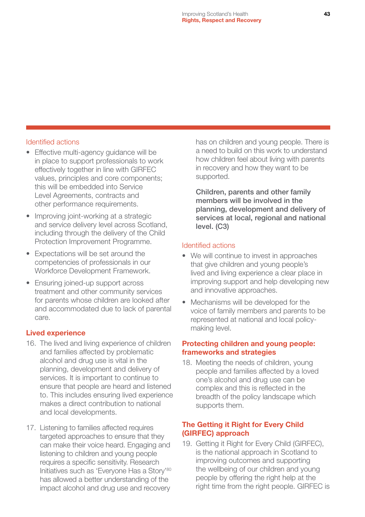#### Identified actions

- Effective multi-agency guidance will be in place to support professionals to work effectively together in line with GIRFEC values, principles and core components; this will be embedded into Service Level Agreements, contracts and other performance requirements.
- Improving joint-working at a strategic and service delivery level across Scotland, including through the delivery of the Child Protection Improvement Programme.
- Expectations will be set around the competencies of professionals in our Workforce Development Framework.
- Ensuring joined-up support across treatment and other community services for parents whose children are looked after and accommodated due to lack of parental care.

#### Lived experience

- 16. The lived and living experience of children and families affected by problematic alcohol and drug use is vital in the planning, development and delivery of services. It is important to continue to ensure that people are heard and listened to. This includes ensuring lived experience makes a direct contribution to national and local developments.
- 17. Listening to families affected requires targeted approaches to ensure that they can make their voice heard. Engaging and listening to children and young people requires a specific sensitivity. Research Initiatives such as 'Everyone Has a Story'80 has allowed a better understanding of the impact alcohol and drug use and recovery

has on children and young people. There is a need to build on this work to understand how children feel about living with parents in recovery and how they want to be supported.

Children, parents and other family members will be involved in the planning, development and delivery of services at local, regional and national level. (C3)

#### Identified actions

- We will continue to invest in approaches that give children and young people's lived and living experience a clear place in improving support and help developing new and innovative approaches.
- Mechanisms will be developed for the voice of family members and parents to be represented at national and local policymaking level.

#### Protecting children and young people: frameworks and strategies

18. Meeting the needs of children, young people and families affected by a loved one's alcohol and drug use can be complex and this is reflected in the breadth of the policy landscape which supports them.

#### The Getting it Right for Every Child (GIRFEC) approach

19. Getting it Right for Every Child (GIRFEC), is the national approach in Scotland to improving outcomes and supporting the wellbeing of our children and young people by offering the right help at the right time from the right people. GIRFEC is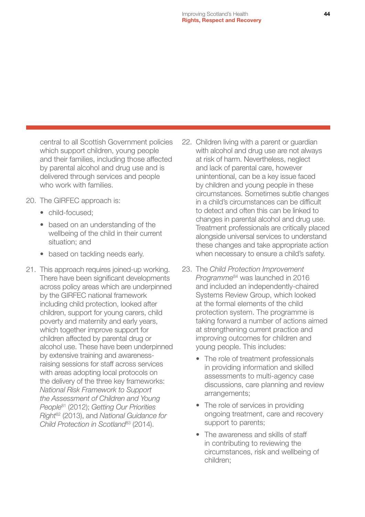central to all Scottish Government policies which support children, young people and their families, including those affected by parental alcohol and drug use and is delivered through services and people who work with families.

- 20. The GIRFEC approach is:
	- child-focused:
	- based on an understanding of the wellbeing of the child in their current situation; and
	- based on tackling needs early.
- 21. This approach requires joined-up working. There have been significant developments across policy areas which are underpinned by the GIRFEC national framework including child protection, looked after children, support for young carers, child poverty and maternity and early years, which together improve support for children affected by parental drug or alcohol use. These have been underpinned by extensive training and awarenessraising sessions for staff across services with areas adopting local protocols on the delivery of the three key frameworks: *National Risk Framework to Support the Assessment of Children and Young People*81 (2012); *Getting Our Priorities Right*82 (2013), and *National Guidance for Child Protection in Scotland*83 (2014).
- 22. Children living with a parent or guardian with alcohol and drug use are not always at risk of harm. Nevertheless, neglect and lack of parental care, however unintentional, can be a key issue faced by children and young people in these circumstances. Sometimes subtle changes in a child's circumstances can be difficult to detect and often this can be linked to changes in parental alcohol and drug use. Treatment professionals are critically placed alongside universal services to understand these changes and take appropriate action when necessary to ensure a child's safety.
- 23. The *Child Protection Improvement Programme*84 was launched in 2016 and included an independently-chaired Systems Review Group, which looked at the formal elements of the child protection system. The programme is taking forward a number of actions aimed at strengthening current practice and improving outcomes for children and young people. This includes:
	- The role of treatment professionals in providing information and skilled assessments to multi-agency case discussions, care planning and review arrangements;
	- The role of services in providing ongoing treatment, care and recovery support to parents;
	- The awareness and skills of staff in contributing to reviewing the circumstances, risk and wellbeing of children;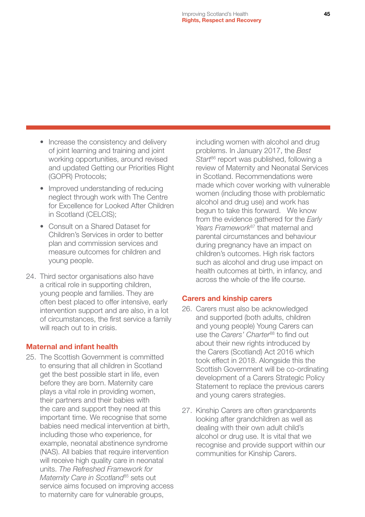- Increase the consistency and delivery of joint learning and training and joint working opportunities, around revised and updated Getting our Priorities Right (GOPR) Protocols;
- Improved understanding of reducing neglect through work with The Centre for Excellence for Looked After Children in Scotland (CELCIS);
- Consult on a Shared Dataset for Children's Services in order to better plan and commission services and measure outcomes for children and young people.
- 24. Third sector organisations also have a critical role in supporting children, young people and families. They are often best placed to offer intensive, early intervention support and are also, in a lot of circumstances, the first service a family will reach out to in crisis.

#### Maternal and infant health

25. The Scottish Government is committed to ensuring that all children in Scotland get the best possible start in life, even before they are born. Maternity care plays a vital role in providing women, their partners and their babies with the care and support they need at this important time. We recognise that some babies need medical intervention at birth, including those who experience, for example, neonatal abstinence syndrome (NAS). All babies that require intervention will receive high quality care in neonatal units. *The Refreshed Framework for Maternity Care in Scotland<sup>85</sup>* sets out service aims focused on improving access to maternity care for vulnerable groups,

including women with alcohol and drug problems. In January 2017, the *Best Start*86 report was published, following a review of Maternity and Neonatal Services in Scotland. Recommendations were made which cover working with vulnerable women (including those with problematic alcohol and drug use) and work has begun to take this forward. We know from the evidence gathered for the *Early*  Years Framework<sup>87</sup> that maternal and parental circumstances and behaviour during pregnancy have an impact on children's outcomes. High risk factors such as alcohol and drug use impact on health outcomes at birth, in infancy, and across the whole of the life course.

#### Carers and kinship carers

- 26. Carers must also be acknowledged and supported (both adults, children and young people) Young Carers can use the *Carers' Charter<sup>88</sup>* to find out about their new rights introduced by the Carers (Scotland) Act 2016 which took effect in 2018. Alongside this the Scottish Government will be co-ordinating development of a Carers Strategic Policy Statement to replace the previous carers and young carers strategies.
- 27. Kinship Carers are often grandparents looking after grandchildren as well as dealing with their own adult child's alcohol or drug use. It is vital that we recognise and provide support within our communities for Kinship Carers.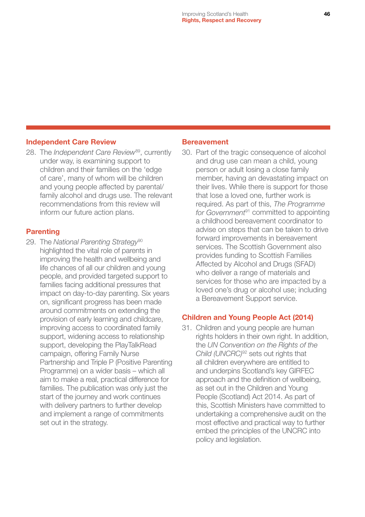#### Independent Care Review

28. The *Independent Care Review*89, currently under way, is examining support to children and their families on the 'edge of care', many of whom will be children and young people affected by parental/ family alcohol and drugs use. The relevant recommendations from this review will inform our future action plans.

#### **Parenting**

29. The *National Parenting Strategy*<sup>90</sup> highlighted the vital role of parents in improving the health and wellbeing and life chances of all our children and young people, and provided targeted support to families facing additional pressures that impact on day-to-day parenting. Six years on, significant progress has been made around commitments on extending the provision of early learning and childcare, improving access to coordinated family support, widening access to relationship support, developing the PlayTalkRead campaign, offering Family Nurse Partnership and Triple P (Positive Parenting Programme) on a wider basis – which all aim to make a real, practical difference for families. The publication was only just the start of the journey and work continues with delivery partners to further develop and implement a range of commitments set out in the strategy.

#### **Bereavement**

30. Part of the tragic consequence of alcohol and drug use can mean a child, young person or adult losing a close family member, having an devastating impact on their lives. While there is support for those that lose a loved one, further work is required. As part of this, *The Programme*  for Government<sup>91</sup> committed to appointing a childhood bereavement coordinator to advise on steps that can be taken to drive forward improvements in bereavement services. The Scottish Government also provides funding to Scottish Families Affected by Alcohol and Drugs (SFAD) who deliver a range of materials and services for those who are impacted by a loved one's drug or alcohol use; including a Bereavement Support service.

#### Children and Young People Act (2014)

31. Children and young people are human rights holders in their own right. In addition, the *UN Convention on the Rights of the Child (UNCRC)*92 sets out rights that all children everywhere are entitled to and underpins Scotland's key GIRFEC approach and the definition of wellbeing, as set out in the Children and Young People (Scotland) Act 2014. As part of this, Scottish Ministers have committed to undertaking a comprehensive audit on the most effective and practical way to further embed the principles of the UNCRC into policy and legislation.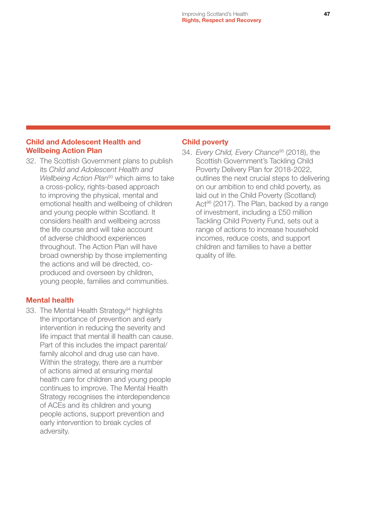#### Child and Adolescent Health and Wellbeing Action Plan

32. The Scottish Government plans to publish its *Child and Adolescent Health and Wellbeing Action Plan*93 which aims to take a cross-policy, rights-based approach to improving the physical, mental and emotional health and wellbeing of children and young people within Scotland. It considers health and wellbeing across the life course and will take account of adverse childhood experiences throughout. The Action Plan will have broad ownership by those implementing the actions and will be directed, coproduced and overseen by children, young people, families and communities.

#### Mental health

33. The Mental Health Strategy<sup>94</sup> highlights the importance of prevention and early intervention in reducing the severity and life impact that mental ill health can cause. Part of this includes the impact parental/ family alcohol and drug use can have. Within the strategy, there are a number of actions aimed at ensuring mental health care for children and young people continues to improve. The Mental Health Strategy recognises the interdependence of ACEs and its children and young people actions, support prevention and early intervention to break cycles of adversity.

#### Child poverty

34. *Every Child, Every Chance*95 (2018), the Scottish Government's Tackling Child Poverty Delivery Plan for 2018-2022, outlines the next crucial steps to delivering on our ambition to end child poverty, as laid out in the Child Poverty (Scotland) Act<sup>96</sup> (2017). The Plan, backed by a range of investment, including a £50 million Tackling Child Poverty Fund, sets out a range of actions to increase household incomes, reduce costs, and support children and families to have a better quality of life.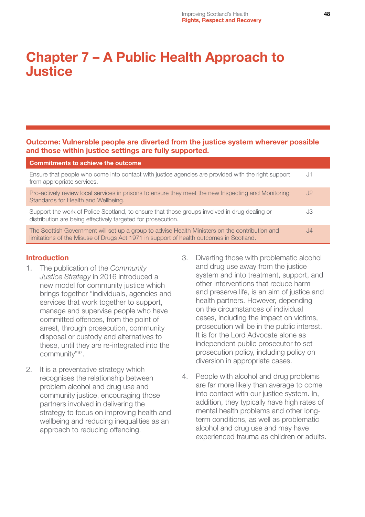## <span id="page-48-0"></span>Chapter 7 – A Public Health Approach to Justice

#### Outcome: Vulnerable people are diverted from the justice system wherever possible and those within justice settings are fully supported.

| <b>Commitments to achieve the outcome</b>                                                                                                                                                |    |
|------------------------------------------------------------------------------------------------------------------------------------------------------------------------------------------|----|
| Ensure that people who come into contact with justice agencies are provided with the right support<br>from appropriate services.                                                         | J1 |
| Pro-actively review local services in prisons to ensure they meet the new Inspecting and Monitoring<br>Standards for Health and Wellbeing.                                               | J2 |
| Support the work of Police Scotland, to ensure that those groups involved in drug dealing or<br>distribution are being effectively targeted for prosecution.                             | JЗ |
| The Scottish Government will set up a group to advise Health Ministers on the contribution and<br>limitations of the Misuse of Drugs Act 1971 in support of health outcomes in Scotland. | 4  |

#### Introduction

- 1. The publication of the *Community Justice Strategy* in 2016 introduced a new model for community justice which brings together "individuals, agencies and services that work together to support, manage and supervise people who have committed offences, from the point of arrest, through prosecution, community disposal or custody and alternatives to these, until they are re-integrated into the community"97.
- 2. It is a preventative strategy which recognises the relationship between problem alcohol and drug use and community justice, encouraging those partners involved in delivering the strategy to focus on improving health and wellbeing and reducing inequalities as an approach to reducing offending.
- 3. Diverting those with problematic alcohol and drug use away from the justice system and into treatment, support, and other interventions that reduce harm and preserve life, is an aim of justice and health partners. However, depending on the circumstances of individual cases, including the impact on victims, prosecution will be in the public interest. It is for the Lord Advocate alone as independent public prosecutor to set prosecution policy, including policy on diversion in appropriate cases.
- 4. People with alcohol and drug problems are far more likely than average to come into contact with our justice system. In, addition, they typically have high rates of mental health problems and other longterm conditions, as well as problematic alcohol and drug use and may have experienced trauma as children or adults.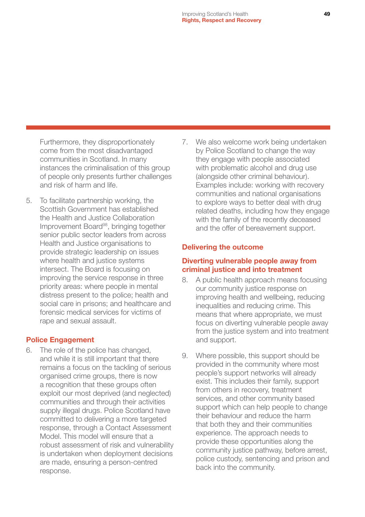Furthermore, they disproportionately come from the most disadvantaged communities in Scotland. In many instances the criminalisation of this group of people only presents further challenges and risk of harm and life.

5. To facilitate partnership working, the Scottish Government has established the Health and Justice Collaboration Improvement Board98, bringing together senior public sector leaders from across Health and Justice organisations to provide strategic leadership on issues where health and justice systems intersect. The Board is focusing on improving the service response in three priority areas: where people in mental distress present to the police; health and social care in prisons; and healthcare and forensic medical services for victims of rape and sexual assault.

#### Police Engagement

6. The role of the police has changed, and while it is still important that there remains a focus on the tackling of serious organised crime groups, there is now a recognition that these groups often exploit our most deprived (and neglected) communities and through their activities supply illegal drugs. Police Scotland have committed to delivering a more targeted response, through a Contact Assessment Model. This model will ensure that a robust assessment of risk and vulnerability is undertaken when deployment decisions are made, ensuring a person-centred response.

7. We also welcome work being undertaken by Police Scotland to change the way they engage with people associated with problematic alcohol and drug use (alongside other criminal behaviour). Examples include: working with recovery communities and national organisations to explore ways to better deal with drug related deaths, including how they engage with the family of the recently deceased and the offer of bereavement support.

#### Delivering the outcome

#### Diverting vulnerable people away from criminal justice and into treatment

- 8. A public health approach means focusing our community justice response on improving health and wellbeing, reducing inequalities and reducing crime. This means that where appropriate, we must focus on diverting vulnerable people away from the justice system and into treatment and support.
- 9. Where possible, this support should be provided in the community where most people's support networks will already exist. This includes their family, support from others in recovery, treatment services, and other community based support which can help people to change their behaviour and reduce the harm that both they and their communities experience. The approach needs to provide these opportunities along the community justice pathway, before arrest, police custody, sentencing and prison and back into the community.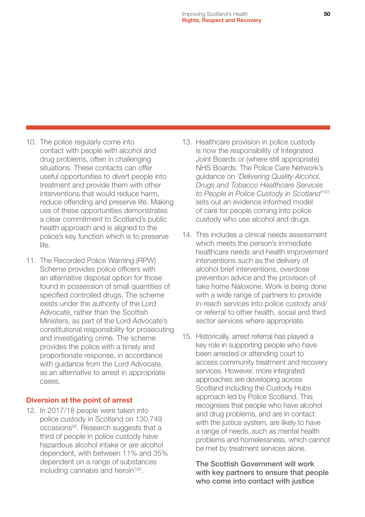- 10. The police regularly come into contact with people with alcohol and drug problems, often in challenging situations. These contacts can offer useful opportunities to divert people into treatment and provide them with other interventions that would reduce harm, reduce offending and preserve life. Making use of these opportunities demonstrates a clear commitment to Scotland's public health approach and is aligned to the police's key function which is to preserve life.
- 11. The Recorded Police Warning (RPW) Scheme provides police officers with an alternative disposal option for those found in possession of small quantities of specified controlled drugs. The scheme exists under the authority of the Lord Advocate, rather than the Scottish Ministers, as part of the Lord Advocate's constitutional responsibility for prosecuting and investigating crime. The scheme provides the police with a timely and proportionate response, in accordance with guidance from the Lord Advocate, as an alternative to arrest in appropriate cases.

#### Diversion at the point of arrest

12. In 2017/18 people were taken into police custody in Scotland on 130,749 occasions<sup>99</sup>. Research suggests that a third of people in police custody have hazardous alcohol intake or are alcohol dependent, with between 11% and 35% dependent on a range of substances including cannabis and heroin<sup>100</sup>.

- 13. Healthcare provision in police custody is now the responsibility of Integrated Joint Boards or (where still appropriate) NHS Boards. The Police Care Network's guidance on *'Delivering Quality Alcohol, Drugs and Tobacco Healthcare Services to People in Police Custody in Scotland'*<sup>101</sup> sets out an evidence informed model of care for people coming into police custody who use alcohol and drugs.
- 14. This includes a clinical needs assessment which meets the person's immediate healthcare needs and health improvement interventions such as the delivery of alcohol brief interventions, overdose prevention advice and the provision of take home Naloxone. Work is being done with a wide range of partners to provide in-reach services into police custody and/ or referral to other health, social and third sector services where appropriate.
- 15. Historically, arrest referral has played a key role in supporting people who have been arrested or attending court to access community treatment and recovery services. However, more integrated approaches are developing across Scotland including the Custody Hubs approach led by Police Scotland. This recognises that people who have alcohol and drug problems, and are in contact with the justice system, are likely to have a range of needs, such as mental health problems and homelessness, which cannot be met by treatment services alone.

The Scottish Government will work with key partners to ensure that people who come into contact with justice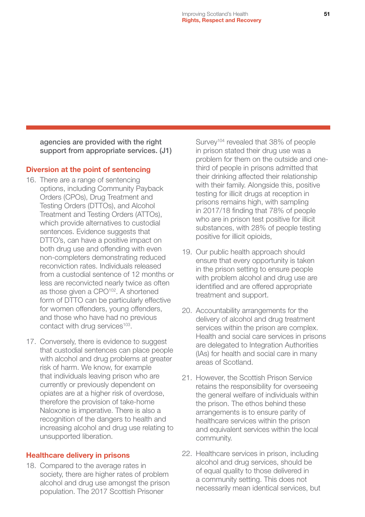agencies are provided with the right support from appropriate services. (J1)

#### Diversion at the point of sentencing

- 16. There are a range of sentencing options, including Community Payback Orders (CPOs), Drug Treatment and Testing Orders (DTTOs), and Alcohol Treatment and Testing Orders (ATTOs), which provide alternatives to custodial sentences. Evidence suggests that DTTO's, can have a positive impact on both drug use and offending with even non-completers demonstrating reduced reconviction rates. Individuals released from a custodial sentence of 12 months or less are reconvicted nearly twice as often as those given a CPO<sup>102</sup>. A shortened form of DTTO can be particularly effective for women offenders, young offenders, and those who have had no previous contact with drug services<sup>103</sup>.
- 17. Conversely, there is evidence to suggest that custodial sentences can place people with alcohol and drug problems at greater risk of harm. We know, for example that individuals leaving prison who are currently or previously dependent on opiates are at a higher risk of overdose, therefore the provision of take-home Naloxone is imperative. There is also a recognition of the dangers to health and increasing alcohol and drug use relating to unsupported liberation.

#### Healthcare delivery in prisons

18. Compared to the average rates in society, there are higher rates of problem alcohol and drug use amongst the prison population. The 2017 Scottish Prisoner

Survey<sup>104</sup> revealed that 38% of people in prison stated their drug use was a problem for them on the outside and onethird of people in prisons admitted that their drinking affected their relationship with their family. Alongside this, positive testing for illicit drugs at reception in prisons remains high, with sampling in 2017/18 finding that 78% of people who are in prison test positive for illicit substances, with 28% of people testing positive for illicit opioids,

- 19. Our public health approach should ensure that every opportunity is taken in the prison setting to ensure people with problem alcohol and drug use are identified and are offered appropriate treatment and support.
- 20. Accountability arrangements for the delivery of alcohol and drug treatment services within the prison are complex. Health and social care services in prisons are delegated to Integration Authorities (IAs) for health and social care in many areas of Scotland.
- 21. However, the Scottish Prison Service retains the responsibility for overseeing the general welfare of individuals within the prison. The ethos behind these arrangements is to ensure parity of healthcare services within the prison and equivalent services within the local community.
- 22. Healthcare services in prison, including alcohol and drug services, should be of equal quality to those delivered in a community setting. This does not necessarily mean identical services, but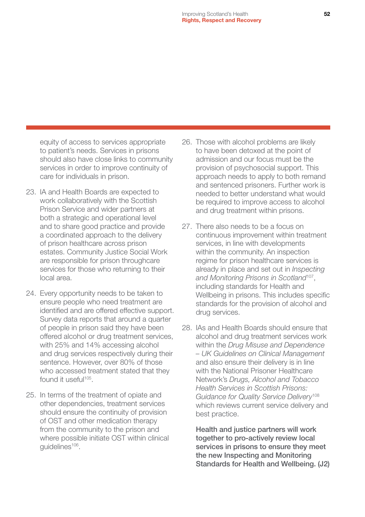equity of access to services appropriate to patient's needs. Services in prisons should also have close links to community services in order to improve continuity of care for individuals in prison.

- 23. IA and Health Boards are expected to work collaboratively with the Scottish Prison Service and wider partners at both a strategic and operational level and to share good practice and provide a coordinated approach to the delivery of prison healthcare across prison estates. Community Justice Social Work are responsible for prison throughcare services for those who returning to their local area.
- 24. Every opportunity needs to be taken to ensure people who need treatment are identified and are offered effective support. Survey data reports that around a quarter of people in prison said they have been offered alcohol or drug treatment services, with 25% and 14% accessing alcohol and drug services respectively during their sentence. However, over 80% of those who accessed treatment stated that they found it useful<sup>105</sup>.
- 25. In terms of the treatment of opiate and other dependencies, treatment services should ensure the continuity of provision of OST and other medication therapy from the community to the prison and where possible initiate OST within clinical guidelines<sup>106</sup>.
- 26. Those with alcohol problems are likely to have been detoxed at the point of admission and our focus must be the provision of psychosocial support. This approach needs to apply to both remand and sentenced prisoners. Further work is needed to better understand what would be required to improve access to alcohol and drug treatment within prisons.
- 27. There also needs to be a focus on continuous improvement within treatment services, in line with developments within the community. An inspection regime for prison healthcare services is already in place and set out in *Inspecting and Monitoring Prisons in Scotland*107, including standards for Health and Wellbeing in prisons. This includes specific standards for the provision of alcohol and drug services.
- 28. IAs and Health Boards should ensure that alcohol and drug treatment services work within the *Drug Misuse and Dependence – UK Guidelines on Clinical Management* and also ensure their delivery is in line with the National Prisoner Healthcare Network's *Drugs, Alcohol and Tobacco Health Services in Scottish Prisons: Guidance for Quality Service Delivery*<sup>108</sup> which reviews current service delivery and best practice.

Health and justice partners will work together to pro-actively review local services in prisons to ensure they meet the new Inspecting and Monitoring Standards for Health and Wellbeing. (J2)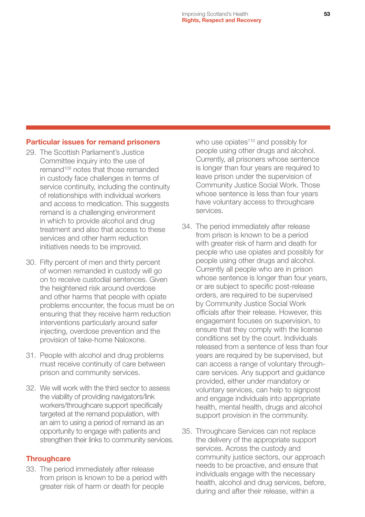#### Particular issues for remand prisoners

- 29. The Scottish Parliament's Justice Committee inquiry into the use of remand109 notes that those remanded in custody face challenges in terms of service continuity, including the continuity of relationships with individual workers and access to medication. This suggests remand is a challenging environment in which to provide alcohol and drug treatment and also that access to these services and other harm reduction initiatives needs to be improved.
- 30. Fifty percent of men and thirty percent of women remanded in custody will go on to receive custodial sentences. Given the heightened risk around overdose and other harms that people with opiate problems encounter, the focus must be on ensuring that they receive harm reduction interventions particularly around safer injecting, overdose prevention and the provision of take-home Naloxone.
- 31. People with alcohol and drug problems must receive continuity of care between prison and community services.
- 32. We will work with the third sector to assess the viability of providing navigators/link workers/throughcare support specifically targeted at the remand population, with an aim to using a period of remand as an opportunity to engage with patients and strengthen their links to community services.

#### **Throughcare**

33. The period immediately after release from prison is known to be a period with greater risk of harm or death for people

who use opiates<sup>110</sup> and possibly for people using other drugs and alcohol. Currently, all prisoners whose sentence is longer than four years are required to leave prison under the supervision of Community Justice Social Work. Those whose sentence is less than four years have voluntary access to throughcare services.

- 34. The period immediately after release from prison is known to be a period with greater risk of harm and death for people who use opiates and possibly for people using other drugs and alcohol. Currently all people who are in prison whose sentence is longer than four years, or are subject to specific post-release orders, are required to be supervised by Community Justice Social Work officials after their release. However, this engagement focuses on supervision, to ensure that they comply with the license conditions set by the court. Individuals released from a sentence of less than four years are required by be supervised, but can access a range of voluntary throughcare services. Any support and guidance provided, either under mandatory or voluntary services, can help to signpost and engage individuals into appropriate health, mental health, drugs and alcohol support provision in the community.
- 35. Throughcare Services can not replace the delivery of the appropriate support services. Across the custody and community justice sectors, our approach needs to be proactive, and ensure that individuals engage with the necessary health, alcohol and drug services, before, during and after their release, within a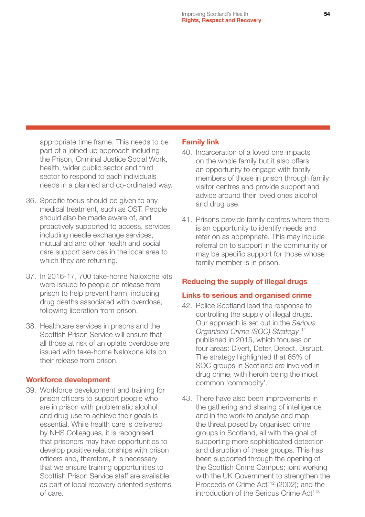appropriate time frame. This needs to be part of a joined up approach including the Prison, Criminal Justice Social Work, health, wider public sector and third sector to respond to each individuals needs in a planned and co-ordinated way.

- 36. Specific focus should be given to any medical treatment, such as OST. People should also be made aware of, and proactively supported to access, services including needle exchange services, mutual aid and other health and social care support services in the local area to which they are returning.
- 37. In 2016-17, 700 take-home Naloxone kits were issued to people on release from prison to help prevent harm, including drug deaths associated with overdose, following liberation from prison.
- 38. Healthcare services in prisons and the Scottish Prison Service will ensure that all those at risk of an opiate overdose are issued with take-home Naloxone kits on their release from prison.

#### Workforce development

39. Workforce development and training for prison officers to support people who are in prison with problematic alcohol and drug use to achieve their goals is essential. While health care is delivered by NHS Colleagues, it is recognised that prisoners may have opportunities to develop positive relationships with prison officers and, therefore, it is necessary that we ensure training opportunities to Scottish Prison Service staff are available as part of local recovery oriented systems of care.

#### Family link

- 40. Incarceration of a loved one impacts on the whole family but it also offers an opportunity to engage with family members of those in prison through family visitor centres and provide support and advice around their loved ones alcohol and drug use.
- 41. Prisons provide family centres where there is an opportunity to identify needs and refer on as appropriate. This may include referral on to support in the community or may be specific support for those whose family member is in prison.

#### Reducing the supply of illegal drugs

#### Links to serious and organised crime

- 42. Police Scotland lead the response to controlling the supply of illegal drugs. Our approach is set out in the *Serious Organised Crime (SOC) Strategy*<sup>111</sup> published in 2015, which focuses on four areas: Divert, Deter, Detect, Disrupt. The strategy highlighted that 65% of SOC groups in Scotland are involved in drug crime, with heroin being the most common 'commodity'.
- 43. There have also been improvements in the gathering and sharing of intelligence and in the work to analyse and map the threat posed by organised crime groups in Scotland, all with the goal of supporting more sophisticated detection and disruption of these groups. This has been supported through the opening of the Scottish Crime Campus; joint working with the UK Government to strengthen the Proceeds of Crime Act<sup>112</sup> (2002); and the introduction of the Serious Crime Act<sup>113</sup>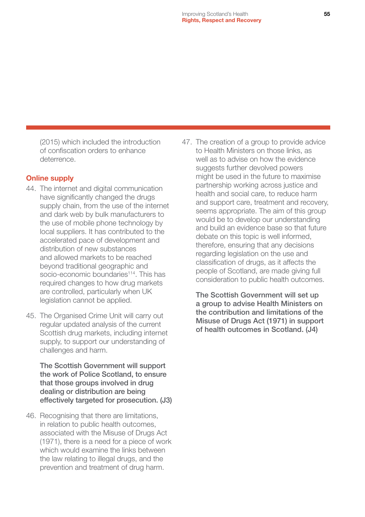(2015) which included the introduction of confiscation orders to enhance deterrence.

#### Online supply

- 44. The internet and digital communication have significantly changed the drugs supply chain, from the use of the internet and dark web by bulk manufacturers to the use of mobile phone technology by local suppliers. It has contributed to the accelerated pace of development and distribution of new substances and allowed markets to be reached beyond traditional geographic and socio-economic boundaries<sup>114</sup>. This has required changes to how drug markets are controlled, particularly when UK legislation cannot be applied.
- 45. The Organised Crime Unit will carry out regular updated analysis of the current Scottish drug markets, including internet supply, to support our understanding of challenges and harm.

The Scottish Government will support the work of Police Scotland, to ensure that those groups involved in drug dealing or distribution are being effectively targeted for prosecution. (J3)

46. Recognising that there are limitations, in relation to public health outcomes, associated with the Misuse of Drugs Act (1971), there is a need for a piece of work which would examine the links between the law relating to illegal drugs, and the prevention and treatment of drug harm.

47. The creation of a group to provide advice to Health Ministers on those links, as well as to advise on how the evidence suggests further devolved powers might be used in the future to maximise partnership working across justice and health and social care, to reduce harm and support care, treatment and recovery, seems appropriate. The aim of this group would be to develop our understanding and build an evidence base so that future debate on this topic is well informed, therefore, ensuring that any decisions regarding legislation on the use and classification of drugs, as it affects the people of Scotland, are made giving full consideration to public health outcomes.

The Scottish Government will set up a group to advise Health Ministers on the contribution and limitations of the Misuse of Drugs Act (1971) in support of health outcomes in Scotland. (J4)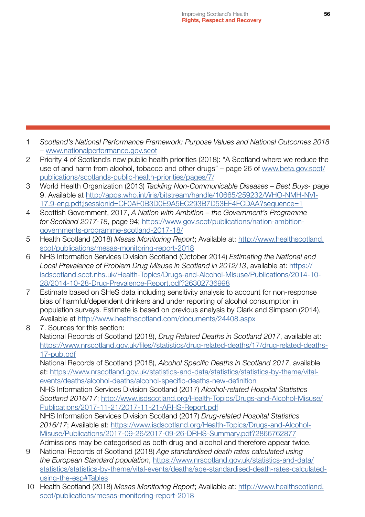- 1 *Scotland's National Performance Framework: Purpose Values and National Outcomes 2018*  – [www.nationalperformance.gov.scot](http://www.nationalperformance.gov.scot)
- 2 Priority 4 of Scotland's new public health priorities (2018): "A Scotland where we reduce the use of and harm from alcohol, tobacco and other drugs" – page 26 of [www.beta.gov.scot/](http://www.beta.gov.scot/publications/scotlands-public-health-priorities/pages/7/) [publications/scotlands-public-health-priorities/pages/7/](http://www.beta.gov.scot/publications/scotlands-public-health-priorities/pages/7/)
- 3 World Health Organization (2013) *Tackling Non-Communicable Diseases Best Buys-* page 9. Available at [http://apps.who.int/iris/bitstream/handle/10665/259232/WHO-NMH-NVI-](http://apps.who.int/iris/bitstream/handle/10665/259232/WHO-NMH-NVI-17.9-eng.pdf;jsessionid=CF0AF0B3D)[17.9-eng.pdf;jsessionid=CF0AF0B3D0E9A5EC293B7D53EF4FCDAA?sequence=1](http://apps.who.int/iris/bitstream/handle/10665/259232/WHO-NMH-NVI-17.9-eng.pdf;jsessionid=CF0AF0B3D)
- 4 Scottish Government, 2017, *A Nation with Ambition the Government's Programme for Scotland 2017-18*, page 94; [https://www.gov.scot/publications/nation-ambition](https://www.gov.scot/publications/nation-ambition-governments-programme-scotland-2017-18/)[governments-programme-scotland-2017-18/](https://www.gov.scot/publications/nation-ambition-governments-programme-scotland-2017-18/)
- 5 Health Scotland (2018) *Mesas Monitoring Report*; Available at: [http://www.healthscotland.](http://www.healthscotland.scot/publications/mesas-monitoring-report-2018) [scot/publications/mesas-monitoring-report-2018](http://www.healthscotland.scot/publications/mesas-monitoring-report-2018)
- 6 NHS Information Services Division Scotland (October 2014) *Estimating the National and Local Prevalence of Problem Drug Misuse in Scotland in 2012/13*, available at: [https://](https://isdscotland.scot.nhs.uk/Health-Topics/Drugs-and-Alcohol-Misuse/Publications/2014-10-28/2014-10-28-Drug-Prevalence-Report.pdf?26302736998) [isdscotland.scot.nhs.uk/Health-Topics/Drugs-and-Alcohol-Misuse/Publications/2014-10-](https://isdscotland.scot.nhs.uk/Health-Topics/Drugs-and-Alcohol-Misuse/Publications/2014-10-28/2014-10-28-Drug-Prevalence-Report.pdf?26302736998) [28/2014-10-28-Drug-Prevalence-Report.pdf?26302736998](https://isdscotland.scot.nhs.uk/Health-Topics/Drugs-and-Alcohol-Misuse/Publications/2014-10-28/2014-10-28-Drug-Prevalence-Report.pdf?26302736998)
- 7 Estimate based on SHeS data including sensitivity analysis to account for non-response bias of harmful/dependent drinkers and under reporting of alcohol consumption in population surveys. Estimate is based on previous analysis by Clark and Simpson (2014), Available at <http://www.healthscotland.com/documents/24408.aspx>
- 8 7. Sources for this section: National Records of Scotland (2018), *Drug Related Deaths in Scotland 2017*, available at: [https://www.nrscotland.gov.uk/files//statistics/drug-related-deaths/17/drug-related-deaths-](https://www.nrscotland.gov.uk/files//statistics/drug-related-deaths/17/drug-related-deaths-17-pub.pd)[17-pub.pdf](https://www.nrscotland.gov.uk/files//statistics/drug-related-deaths/17/drug-related-deaths-17-pub.pd)

National Records of Scotland (2018), *Alcohol Specific Deaths in Scotland 2017*, available at: [https://www.nrscotland.gov.uk/statistics-and-data/statistics/statistics-by-theme/vital](https://www.nrscotland.gov.uk/statistics-and-data/statistics/statistics-by-theme/vital-events/deaths)[events/deaths/alcohol-deaths/alcohol-specific-deaths-new-definition](https://www.nrscotland.gov.uk/statistics-and-data/statistics/statistics-by-theme/vital-events/deaths)

NHS Information Services Division Scotland (2017) *Alcohol-related Hospital Statistics Scotland 2016/17*; [http://www.isdscotland.org/Health-Topics/Drugs-and-Alcohol-Misuse/](http://www.isdscotland.org/Health-Topics/Drugs-and-Alcohol-Misuse/Publications/2017-11-21/2017-11-21-ARHS-Report.pdf) [Publications/2017-11-21/2017-11-21-ARHS-Report.pdf](http://www.isdscotland.org/Health-Topics/Drugs-and-Alcohol-Misuse/Publications/2017-11-21/2017-11-21-ARHS-Report.pdf)

NHS Information Services Division Scotland (2017) *Drug-related Hospital Statistics 2016/17*; Available at: [https://www.isdscotland.org/Health-Topics/Drugs-and-Alcohol-](https://www.isdscotland.org/Health-Topics/Drugs-and-Alcohol-Misuse/Publications/2017-09-26/2017-09-26-DRHS-Summary.pdf?2866762877)[Misuse/Publications/2017-09-26/2017-09-26-DRHS-Summary.pdf?2866762877](https://www.isdscotland.org/Health-Topics/Drugs-and-Alcohol-Misuse/Publications/2017-09-26/2017-09-26-DRHS-Summary.pdf?2866762877)

Admissions may be categorised as both drug and alcohol and therefore appear twice. 9 National Records of Scotland (2018) *Age standardised death rates calculated using* 

- *the European Standard population*, [https://www.nrscotland.gov.uk/statistics-and-data/](https://www.nrscotland.gov.uk/statistics-and-data/statistics/statistics-by-theme/vital-events/deaths) [statistics/statistics-by-theme/vital-events/deaths/age-standardised-death-rates-calculated](https://www.nrscotland.gov.uk/statistics-and-data/statistics/statistics-by-theme/vital-events/deaths)[using-the-esp#Tables](https://www.nrscotland.gov.uk/statistics-and-data/statistics/statistics-by-theme/vital-events/deaths)
- 10 Health Scotland (2018) *Mesas Monitoring Report*; Available at: [http://www.healthscotland.](http://www.healthscotland.scot/publications/mesas-monitoring-report-2018) [scot/publications/mesas-monitoring-report-2018](http://www.healthscotland.scot/publications/mesas-monitoring-report-2018)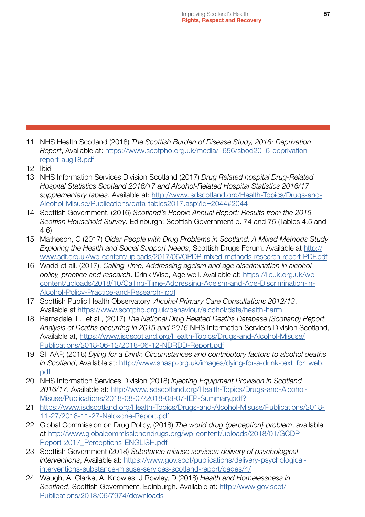- 11 NHS Health Scotland (2018) *The Scottish Burden of Disease Study, 2016: Deprivation Report*, Available at: [https://www.scotpho.org.uk/media/1656/sbod2016-deprivation](https://www.scotpho.org.uk/media/1656/sbod2016-deprivation-report-aug18.pdf)[report-aug18.pdf](https://www.scotpho.org.uk/media/1656/sbod2016-deprivation-report-aug18.pdf)
- 12 Ibid
- 13 NHS Information Services Division Scotland (2017) *Drug Related hospital Drug-Related Hospital Statistics Scotland 2016/17 and Alcohol-Related Hospital Statistics 2016/17 supplementary tables*. Available at: [http://www.isdscotland.org/Health-Topics/Drugs-and-](http://www.isdscotland.org/Health-Topics/Drugs-and-Alcohol-Misuse/Publications/data-tables2017.asp?i)[Alcohol-Misuse/Publications/data-tables2017.asp?id=2044#2044](http://www.isdscotland.org/Health-Topics/Drugs-and-Alcohol-Misuse/Publications/data-tables2017.asp?i)
- 14 Scottish Government. (2016) *Scotland's People Annual Report: Results from the 2015 Scottish Household Survey*. Edinburgh: Scottish Government p. 74 and 75 (Tables 4.5 and 4.6).
- 15 Matheson, C (2017) *Older People with Drug Problems in Scotland: A Mixed Methods Study Exploring the Health and Social Support Needs*, Scottish Drugs Forum. Available at [http://](http://www.sdf.org.uk/wp-content/uploads/2017/06/OPDP-mixed-methods-research-report-PDF.pdf) [www.sdf.org.uk/wp-content/uploads/2017/06/OPDP-mixed-methods-research-report-PDF.pdf](http://www.sdf.org.uk/wp-content/uploads/2017/06/OPDP-mixed-methods-research-report-PDF.pdf)
- 16 Wadd et all. (2017), *Calling Time, Addressing ageism and age discrimination in alcohol policy, practice and research*. Drink Wise, Age well. Available at: [https://ilcuk.org.uk/wp](https://ilcuk.org.uk/wp-content/uploads/2018/10/Calling-Time-Addressing-Ageism-and-Age-Discrimination-in-Alcohol-Policy-Practice-and-Research-.pdf)[content/uploads/2018/10/Calling-Time-Addressing-Ageism-and-Age-Discrimination-in-](https://ilcuk.org.uk/wp-content/uploads/2018/10/Calling-Time-Addressing-Ageism-and-Age-Discrimination-in-Alcohol-Policy-Practice-and-Research-.pdf)[Alcohol-Policy-Practice-and-Research-.pdf](https://ilcuk.org.uk/wp-content/uploads/2018/10/Calling-Time-Addressing-Ageism-and-Age-Discrimination-in-Alcohol-Policy-Practice-and-Research-.pdf)
- 17 Scottish Public Health Observatory: *Alcohol Primary Care Consultations 2012/13*. Available at <https://www.scotpho.org.uk/behaviour/alcohol/data/health-harm>
- 18 Barnsdale, L., et al., (2017) *The National Drug Related Deaths Database (Scotland) Report Analysis of Deaths occurring in 2015 and 2016* NHS Information Services Division Scotland, Available at, [https://www.isdscotland.org/Health-Topics/Drugs-and-Alcohol-Misuse/](https://www.isdscotland.org/Health-Topics/Drugs-and-Alcohol-Misuse/Publications/2018-06-12/2018-06-12-NDRDD-Report.pdf) [Publications/2018-06-12/2018-06-12-NDRDD-Report.pdf](https://www.isdscotland.org/Health-Topics/Drugs-and-Alcohol-Misuse/Publications/2018-06-12/2018-06-12-NDRDD-Report.pdf)
- 19 SHAAP, (2018) *Dying for a Drink: Circumstances and contributory factors to alcohol deaths in Scotland*, Available at: http://www.shaap.org.uk/images/dying-for-a-drink-text for web. [pdf](http://www.shaap.org.uk/images/dying-for-a-drink-text_for_web.pdf)
- 20 NHS Information Services Division (2018) *Injecting Equipment Provision in Scotland 2016/17*. Available at: [http://www.isdscotland.org/Health-Topics/Drugs-and-Alcohol-](http://www.isdscotland.org/Health-Topics/Drugs-and-Alcohol-Misuse/Publications/2018-08-07/2018-08-07-IEP-Summary.pdf?)[Misuse/Publications/2018-08-07/2018-08-07-IEP-Summary.pdf?](http://www.isdscotland.org/Health-Topics/Drugs-and-Alcohol-Misuse/Publications/2018-08-07/2018-08-07-IEP-Summary.pdf?)
- 21 [https://www.isdscotland.org/Health-Topics/Drugs-and-Alcohol-Misuse/Publications/2018-](https://www.isdscotland.org/Health-Topics/Drugs-and-Alcohol-Misuse/Publications/2018-11-27/2018-11-27-Naloxone-Report.pdf) [11-27/2018-11-27-Naloxone-Report.pdf](https://www.isdscotland.org/Health-Topics/Drugs-and-Alcohol-Misuse/Publications/2018-11-27/2018-11-27-Naloxone-Report.pdf)
- 22 Global Commission on Drug Policy, (2018) *The world drug {perception} problem*, available at [http://www.globalcommissionondrugs.org/wp-content/uploads/2018/01/GCDP-](http://www.globalcommissionondrugs.org/wp-content/uploads/2018/01/GCDP-Report-2017_Perceptions-ENGLISH.pdf)Report-2017 Perceptions-ENGLISH.pdf
- 23 Scottish Government (2018) *Substance misuse services: delivery of psychological interventions*, Available at: [https://www.gov.scot/publications/delivery-psychological](https://www.gov.scot/publications/delivery-psychological-interventions-substance-misuse-services-scotland-report/pages/4/)[interventions-substance-misuse-services-scotland-report/pages/4/](https://www.gov.scot/publications/delivery-psychological-interventions-substance-misuse-services-scotland-report/pages/4/)
- 24 Waugh, A, Clarke, A, Knowles, J Rowley, D (2018) *Health and Homelessness in Scotland*, Scottish Government, Edinburgh. Available at: [http://www.gov.scot/](http://www.gov.scot/Publications/2018/06/7974/downloads) [Publications/2018/06/7974/downloads](http://www.gov.scot/Publications/2018/06/7974/downloads)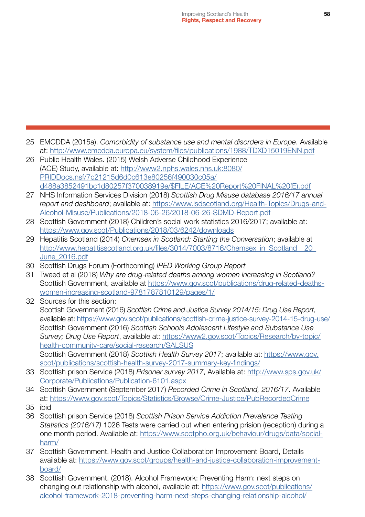- 25 EMCDDA (2015a). *Comorbidity of substance use and mental disorders in Europe*. Available at: <http://www.emcdda.europa.eu/system/files/publications/1988/TDXD15019ENN.pdf>
- 26 Public Health Wales. (2015) Welsh Adverse Childhood Experience (ACE) Study, available at: [http://www2.nphs.wales.nhs.uk:8080/](http://www2.nphs.wales.nhs.uk:8080/PRIDDocs.nsf/7c21215d6d0c613e80256f490030c05a/d488a3852491bc1d80257f370038919e/$FILE/ACE%20Report%20FINAL%20(E).pdf) [PRIDDocs.nsf/7c21215d6d0c613e80256f490030c05a/](http://www2.nphs.wales.nhs.uk:8080/PRIDDocs.nsf/7c21215d6d0c613e80256f490030c05a/d488a3852491bc1d80257f370038919e/$FILE/ACE%20Report%20FINAL%20(E).pdf) [d488a3852491bc1d80257f370038919e/\\$FILE/ACE%20Report%20FINAL%20\(E\).pdf](http://www2.nphs.wales.nhs.uk:8080/PRIDDocs.nsf/7c21215d6d0c613e80256f490030c05a/d488a3852491bc1d80257f370038919e/$FILE/ACE%20Report%20FINAL%20(E).pdf)
- 27 NHS Information Services Division (2018) *Scottish Drug Misuse database 2016/17 annual report and dashboard*; available at: [https://www.isdscotland.org/Health-Topics/Drugs-and-](https://www.isdscotland.org/Health-Topics/Drugs-and-Alcohol-Misuse/Publications/2018-06-26/2018-06-26-SDMD-Report.pdf)[Alcohol-Misuse/Publications/2018-06-26/2018-06-26-SDMD-Report.pdf](https://www.isdscotland.org/Health-Topics/Drugs-and-Alcohol-Misuse/Publications/2018-06-26/2018-06-26-SDMD-Report.pdf)
- 28 Scottish Government (2018) Children's social work statistics 2016/2017; available at: <https://www.gov.scot/Publications/2018/03/6242/downloads>
- 29 Hepatitis Scotland (2014) *Chemsex in Scotland: Starting the Conversation*; available at http://www.hepatitisscotland.org.uk/files/3014/7003/8716/Chemsex\_in\_Scotland\_\_20 [June\\_2016.pdf](http://www.hepatitisscotland.org.uk/files/3014/7003/8716/Chemsex_in_Scotland__20_June_2016.pdf)
- 30 Scottish Drugs Forum (Forthcoming) *IPED Working Group Report*
- 31 Tweed et al (2018) *Why are drug-related deaths among women increasing in Scotland?* Scottish Government, available at [https://www.gov.scot/publications/drug-related-deaths](https://www.gov.scot/publications/drug-related-deaths-women-increasing-scotland-9781787810129/pages/1/)[women-increasing-scotland-9781787810129/pages/1/](https://www.gov.scot/publications/drug-related-deaths-women-increasing-scotland-9781787810129/pages/1/)
- 32 Sources for this section: Scottish Government (2016) *Scottish Crime and Justice Survey 2014/15: Drug Use Report*, available at: <https://www.gov.scot/publications/scottish-crime-justice-survey-2014-15-drug-use/> Scottish Government (2016) *Scottish Schools Adolescent Lifestyle and Substance Use Survey; Drug Use Report*, available at: [https://www2.gov.scot/Topics/Research/by-topic/](https://www2.gov.scot/Topics/Research/by-topic/health-community-care/social-research/SALSUS) [health-community-care/social-research/SALSUS](https://www2.gov.scot/Topics/Research/by-topic/health-community-care/social-research/SALSUS) Scottish Government (2018) *Scottish Health Survey 2017*; available at: [https://www.gov.](https://www.gov.scot/publications/scottish-health-survey-2017-summary-key-findings/) [scot/publications/scottish-health-survey-2017-summary-key-findings/](https://www.gov.scot/publications/scottish-health-survey-2017-summary-key-findings/)
- 33 Scottish prison Service (2018) *Prisoner survey 2017*, Available at: [http://www.sps.gov.uk/](http://www.sps.gov.uk/Corporate/Publications/Publication-6101.aspx) [Corporate/Publications/Publication-6101.aspx](http://www.sps.gov.uk/Corporate/Publications/Publication-6101.aspx)
- 34 Scottish Government (September 2017) *Recorded Crime in Scotland, 2016/17*. Available at: <https://www.gov.scot/Topics/Statistics/Browse/Crime-Justice/PubRecordedCrime>
- 35 ibid
- 36 Scottish prison Service (2018) *Scottish Prison Service Addiction Prevalence Testing Statistics (2016/17)* 1026 Tests were carried out when entering prision (reception) during a one month period. Available at: [https://www.scotpho.org.uk/behaviour/drugs/data/social](https://www.scotpho.org.uk/behaviour/drugs/data/social-harm/)[harm/](https://www.scotpho.org.uk/behaviour/drugs/data/social-harm/)
- 37 Scottish Government. Health and Justice Collaboration Improvement Board, Details available at: [https://www.gov.scot/groups/health-and-justice-collaboration-improvement](https://www.gov.scot/groups/health-and-justice-collaboration-improvement-board/)[board/](https://www.gov.scot/groups/health-and-justice-collaboration-improvement-board/)
- 38 Scottish Government. (2018). Alcohol Framework: Preventing Harm: next steps on changing out relationship with alcohol, available at: [https://www.gov.scot/publications/](https://www.gov.scot/publications/alcohol-framework-2018-preventing-harm-next-steps-changing-relationship-alcohol/) [alcohol-framework-2018-preventing-harm-next-steps-changing-relationship-alcohol/](https://www.gov.scot/publications/alcohol-framework-2018-preventing-harm-next-steps-changing-relationship-alcohol/)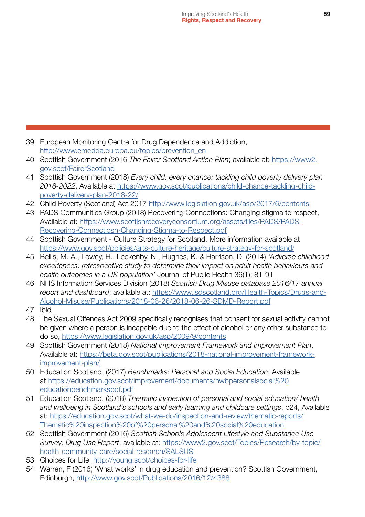- 39 European Monitoring Centre for Drug Dependence and Addiction, [http://www.emcdda.europa.eu/topics/prevention\\_en](http://www.emcdda.europa.eu/topics/prevention_en)
- 40 Scottish Government (2016 *The Fairer Scotland Action Plan*; available at: [https://www2.](https://www2.gov.scot/FairerScotland) [gov.scot/FairerScotland](https://www2.gov.scot/FairerScotland)
- 41 Scottish Government (2018) *Every child, every chance: tackling child poverty delivery plan 2018-2022*, Available at [https://www.gov.scot/publications/child-chance-tackling-child](https://www.gov.scot/publications/child-chance-tackling-child-poverty-delivery-plan-2018-22/)[poverty-delivery-plan-2018-22/](https://www.gov.scot/publications/child-chance-tackling-child-poverty-delivery-plan-2018-22/)
- 42 Child Poverty (Scotland) Act 2017 <http://www.legislation.gov.uk/asp/2017/6/contents>
- 43 PADS Communities Group (2018) Recovering Connections: Changing stigma to respect, Available at: [https://www.scottishrecoveryconsortium.org/assets/files/PADS/PADS-](https://www.scottishrecoveryconsortium.org/assets/files/PADS/PADS-Recovering-Connectiosn-Changing-Stigma-to-Respect.pdf)[Recovering-Connectiosn-Changing-Stigma-to-Respect.pdf](https://www.scottishrecoveryconsortium.org/assets/files/PADS/PADS-Recovering-Connectiosn-Changing-Stigma-to-Respect.pdf)
- 44 Scottish Government Culture Strategy for Scotland. More information available at <https://www.gov.scot/policies/arts-culture-heritage/culture-strategy-for-scotland/>
- 45 Bellis, M. A., Lowey, H., Leckenby, N., Hughes, K. & Harrison, D. (2014) *'Adverse childhood experiences: retrospective study to determine their impact on adult health behaviours and health outcomes in a UK population'* Journal of Public Health 36(1): 81-91
- 46 NHS Information Services Division (2018) *Scottish Drug Misuse database 2016/17 annual report and dashboard*; available at: [https://www.isdscotland.org/Health-Topics/Drugs-and-](https://www.isdscotland.org/Health-Topics/Drugs-and-Alcohol-Misuse/Publications/2018-06-26/2018-06-26-SDMD-Report.pdf)[Alcohol-Misuse/Publications/2018-06-26/2018-06-26-SDMD-Report.pdf](https://www.isdscotland.org/Health-Topics/Drugs-and-Alcohol-Misuse/Publications/2018-06-26/2018-06-26-SDMD-Report.pdf)
- 47 Ibid
- 48 The Sexual Offences Act 2009 specifically recognises that consent for sexual activity cannot be given where a person is incapable due to the effect of alcohol or any other substance to do so,<https://www.legislation.gov.uk/asp/2009/9/contents>
- 49 Scottish Government (2018) *National Improvement Framework and Improvement Plan*, Available at: [https://beta.gov.scot/publications/2018-national-improvement-framework](https://beta.gov.scot/publications/2018-national-improvement-framework-improvement-plan/)[improvement-plan/](https://beta.gov.scot/publications/2018-national-improvement-framework-improvement-plan/)
- 50 Education Scotland, (2017) *Benchmarks: Personal and Social Education*; Available at [https://education.gov.scot/improvement/documents/hwbpersonalsocial%20](https://education.gov.scot/improvement/documents/hwbpersonalsocial%20educationbenchmarkspdf.pdf) [educationbenchmarkspdf.pdf](https://education.gov.scot/improvement/documents/hwbpersonalsocial%20educationbenchmarkspdf.pdf)
- 51 Education Scotland, (2018) *Thematic inspection of personal and social education/ health and wellbeing in Scotland's schools and early learning and childcare settings*, p24, Available at: [https://education.gov.scot/what-we-do/inspection-and-review/thematic-reports/](https://education.gov.scot/what-we-do/inspection-and-review/thematic-reports/Thematic%20inspection%20of%20personal%20and%20social%20education) [Thematic%20inspection%20of%20personal%20and%20social%20education](https://education.gov.scot/what-we-do/inspection-and-review/thematic-reports/Thematic%20inspection%20of%20personal%20and%20social%20education)
- 52 Scottish Government (2016) *Scottish Schools Adolescent Lifestyle and Substance Use Survey; Drug Use Report*, available at: [https://www2.gov.scot/Topics/Research/by-topic/](https://www2.gov.scot/Topics/Research/by-topic/health-community-care/social-research/SALSUS) [health-community-care/social-research/SALSUS](https://www2.gov.scot/Topics/Research/by-topic/health-community-care/social-research/SALSUS)
- 53 Choices for Life,<http://young.scot/choices-for-life>
- 54 Warren, F (2016) 'What works' in drug education and prevention? Scottish Government, Edinburgh, <http://www.gov.scot/Publications/2016/12/4388>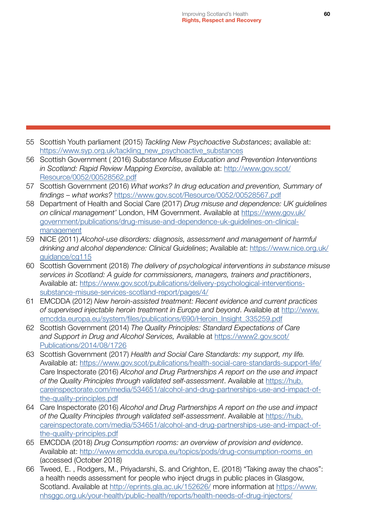- 55 Scottish Youth parliament (2015) *Tackling New Psychoactive Substances*; available at: [https://www.syp.org.uk/tackling\\_new\\_psychoactive\\_substances](https://www.syp.org.uk/tackling_new_psychoactive_substances)
- 56 Scottish Government ( 2016) *Substance Misuse Education and Prevention Interventions in Scotland: Rapid Review Mapping Exercise*, available at: [http://www.gov.scot/](http://www.gov.scot/Resource/0052/00528562.pdf) [Resource/0052/00528562.pdf](http://www.gov.scot/Resource/0052/00528562.pdf)
- 57 Scottish Government (2016) *What works? In drug education and prevention, Summary of findings – what works?* <https://www.gov.scot/Resource/0052/00528567.pdf>
- 58 Department of Health and Social Care (2017) *Drug misuse and dependence: UK guidelines on clinical management'* London, HM Government. Available at [https://www.gov.uk/](https://www.gov.uk/government/publications/drug-misuse-and-dependence-uk-guidelines-on-clinical-management) [government/publications/drug-misuse-and-dependence-uk-guidelines-on-clinical](https://www.gov.uk/government/publications/drug-misuse-and-dependence-uk-guidelines-on-clinical-management)[management](https://www.gov.uk/government/publications/drug-misuse-and-dependence-uk-guidelines-on-clinical-management)
- 59 NICE (2011) *Alcohol-use disorders: diagnosis, assessment and management of harmful drinking and alcohol dependence: Clinical Guidelines*; Available at: [https://www.nice.org.uk/](https://www.nice.org.uk/guidance/cg115) [guidance/cg115](https://www.nice.org.uk/guidance/cg115)
- 60 Scottish Government (2018) *The delivery of psychological interventions in substance misuse services in Scotland: A guide for commissioners, managers, trainers and practitioners*, Available at: [https://www.gov.scot/publications/delivery-psychological-interventions](https://www.gov.scot/publications/delivery-psychological-interventions-substance-misuse-services-scotland-report/pages/4/)[substance-misuse-services-scotland-report/pages/4/](https://www.gov.scot/publications/delivery-psychological-interventions-substance-misuse-services-scotland-report/pages/4/)
- 61 EMCDDA (2012) *New heroin-assisted treatment: Recent evidence and current practices of supervised injectable heroin treatment in Europe and beyond*. Available at [http://www.](http://www.emcdda.europa.eu/system/files/publications/690/Heroin_Insight_335259.pdf) [emcdda.europa.eu/system/files/publications/690/Heroin\\_Insight\\_335259.pdf](http://www.emcdda.europa.eu/system/files/publications/690/Heroin_Insight_335259.pdf)
- 62 Scottish Government (2014) *The Quality Principles: Standard Expectations of Care and Support in Drug and Alcohol Services,* Available at [https://www2.gov.scot/](https://www2.gov.scot/Publications/2014/08/1726) [Publications/2014/08/1726](https://www2.gov.scot/Publications/2014/08/1726)
- 63 Scottish Government (2017) *Health and Social Care Standards: my support, my life.* Available at:<https://www.gov.scot/publications/health-social-care-standards-support-life/> Care Inspectorate (2016) *Alcohol and Drug Partnerships A report on the use and impact of the Quality Principles through validated self-assessment*. Available at [https://hub.](https://hub.careinspectorate.com/media/534651/alcohol-and-drug-partnerships-use-and-impact-of-the-quality-principles.pdf) [careinspectorate.com/media/534651/alcohol-and-drug-partnerships-use-and-impact-of](https://hub.careinspectorate.com/media/534651/alcohol-and-drug-partnerships-use-and-impact-of-the-quality-principles.pdf)[the-quality-principles.pdf](https://hub.careinspectorate.com/media/534651/alcohol-and-drug-partnerships-use-and-impact-of-the-quality-principles.pdf)
- 64 Care Inspectorate (2016) *Alcohol and Drug Partnerships A report on the use and impact of the Quality Principles through validated self-assessment*. Available at [https://hub.](https://hub.careinspectorate.com/media/534651/alcohol-and-drug-partnerships-use-and-impact-of-the-quality-principles.pdf) [careinspectorate.com/media/534651/alcohol-and-drug-partnerships-use-and-impact-of](https://hub.careinspectorate.com/media/534651/alcohol-and-drug-partnerships-use-and-impact-of-the-quality-principles.pdf)[the-quality-principles.pdf](https://hub.careinspectorate.com/media/534651/alcohol-and-drug-partnerships-use-and-impact-of-the-quality-principles.pdf)
- 65 EMCDDA (2018) *Drug Consumption rooms: an overview of provision and evidence*. Available at: [http://www.emcdda.europa.eu/topics/pods/drug-consumption-rooms\\_en](http://www.emcdda.europa.eu/topics/pods/drug-consumption-rooms_en) (accessed (October 2018)
- 66 Tweed, E. , Rodgers, M., Priyadarshi, S. and Crighton, E. (2018) "Taking away the chaos": a health needs assessment for people who inject drugs in public places in Glasgow, Scotland. Available at<http://eprints.gla.ac.uk/152626/>more information at [https://www.](https://www.nhsggc.org.uk/your-health/public-health/reports/health-needs-of-drug-injectors/) [nhsggc.org.uk/your-health/public-health/reports/health-needs-of-drug-injectors/](https://www.nhsggc.org.uk/your-health/public-health/reports/health-needs-of-drug-injectors/)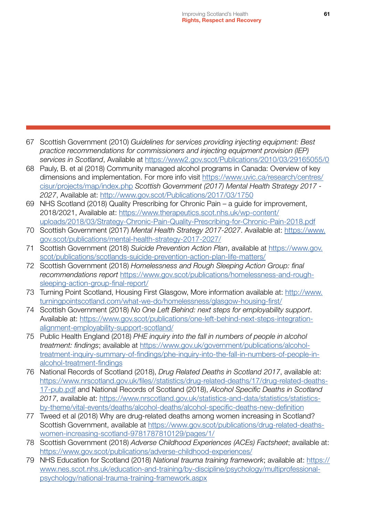- 67 Scottish Government (2010) *Guidelines for services providing injecting equipment: Best practice recommendations for commissioners and injecting equipment provision (IEP) services in Scotland*, Available at <https://www2.gov.scot/Publications/2010/03/29165055/0>
- 68 Pauly, B. et al (2018) Community managed alcohol programs in Canada: Overview of key dimensions and implementation. For more info visit [https://www.uvic.ca/research/centres/](https://www.uvic.ca/research/centres/cisur/projects/map/index.php) [cisur/projects/map/index.php](https://www.uvic.ca/research/centres/cisur/projects/map/index.php) *Scottish Government (2017) Mental Health Strategy 2017 - 2027*, Available at:<http://www.gov.scot/Publications/2017/03/1750>
- 69 NHS Scotland (2018) Quality Prescribing for Chronic Pain a guide for improvement, 2018/2021, Available at: [https://www.therapeutics.scot.nhs.uk/wp-content/](https://www.therapeutics.scot.nhs.uk/wp-content/uploads/2018/03/Strategy-Chronic-Pain-Quality-Prescribing-for-Chronic-Pain-2018.pdf) [uploads/2018/03/Strategy-Chronic-Pain-Quality-Prescribing-for-Chronic-Pain-2018.pdf](https://www.therapeutics.scot.nhs.uk/wp-content/uploads/2018/03/Strategy-Chronic-Pain-Quality-Prescribing-for-Chronic-Pain-2018.pdf)
- 70 Scottish Government (2017) *Mental Health Strategy 2017-2027*. Available at: [https://www.](https://www.gov.scot/publications/mental-health-strategy-2017-2027/) [gov.scot/publications/mental-health-strategy-2017-2027/](https://www.gov.scot/publications/mental-health-strategy-2017-2027/)
- 71 Scottish Government (2018) *Suicide Prevention Action Plan*, available at [https://www.gov.](https://www.gov.scot/publications/scotlands-suicide-prevention-action-plan-life-matters/) [scot/publications/scotlands-suicide-prevention-action-plan-life-matters/](https://www.gov.scot/publications/scotlands-suicide-prevention-action-plan-life-matters/)
- 72 Scottish Government (2018) *Homelessness and Rough Sleeping Action Group: final recommendations report* [https://www.gov.scot/publications/homelessness-and-rough](https://www.gov.scot/publications/homelessness-and-rough-sleeping-action-group-final-report/)[sleeping-action-group-final-report/](https://www.gov.scot/publications/homelessness-and-rough-sleeping-action-group-final-report/)
- 73 Turning Point Scotland, Housing First Glasgow, More information available at: [http://www.](http://www.turningpointscotland.com/what-we-do/homelessness/glasgow-housing-first/) [turningpointscotland.com/what-we-do/homelessness/glasgow-housing-first/](http://www.turningpointscotland.com/what-we-do/homelessness/glasgow-housing-first/)
- 74 Scottish Government (2018) *No One Left Behind: next steps for employability support*. Available at: [https://www.gov.scot/publications/one-left-behind-next-steps-integration](https://www.gov.scot/publications/one-left-behind-next-steps-integration-alignment-employability-support-scotland/)[alignment-employability-support-scotland/](https://www.gov.scot/publications/one-left-behind-next-steps-integration-alignment-employability-support-scotland/)
- 75 Public Health England (2018) *PHE inquiry into the fall in numbers of people in alcohol treatment: findings*; available at [https://www.gov.uk/government/publications/alcohol](https://www.gov.uk/government/publications/alcohol-treatment-inquiry-summary-of-findings/phe-inquiry-into-the-fall-in-numbers-of-people-in-alcohol-treatment-findings)[treatment-inquiry-summary-of-findings/phe-inquiry-into-the-fall-in-numbers-of-people-in](https://www.gov.uk/government/publications/alcohol-treatment-inquiry-summary-of-findings/phe-inquiry-into-the-fall-in-numbers-of-people-in-alcohol-treatment-findings)[alcohol-treatment-findings](https://www.gov.uk/government/publications/alcohol-treatment-inquiry-summary-of-findings/phe-inquiry-into-the-fall-in-numbers-of-people-in-alcohol-treatment-findings)
- 76 National Records of Scotland (2018), *Drug Related Deaths in Scotland 2017*, available at: [https://www.nrscotland.gov.uk/files//statistics/drug-related-deaths/17/drug-related-deaths-](https://www.nrscotland.gov.uk/files//statistics/drug-related-deaths/17/drug-related-deaths-17-pub.pdf)[17-pub.pdf](https://www.nrscotland.gov.uk/files//statistics/drug-related-deaths/17/drug-related-deaths-17-pub.pdf) and National Records of Scotland (2018), *Alcohol Specific Deaths in Scotland 2017*, available at: [https://www.nrscotland.gov.uk/statistics-and-data/statistics/statistics](https://www.nrscotland.gov.uk/statistics-and-data/statistics/statistics-by-theme/vital-events/deaths/alcohol-deaths/alcohol-specific-deaths-new-definition)[by-theme/vital-events/deaths/alcohol-deaths/alcohol-specific-deaths-new-definition](https://www.nrscotland.gov.uk/statistics-and-data/statistics/statistics-by-theme/vital-events/deaths/alcohol-deaths/alcohol-specific-deaths-new-definition)
- 77 Tweed et al (2018) Why are drug-related deaths among women increasing in Scotland? Scottish Government, available at [https://www.gov.scot/publications/drug-related-deaths](https://www.gov.scot/publications/drug-related-deaths-women-increasing-scotland-9781787810129/pages/1/)[women-increasing-scotland-9781787810129/pages/1/](https://www.gov.scot/publications/drug-related-deaths-women-increasing-scotland-9781787810129/pages/1/)
- 78 Scottish Government (2018) *Adverse Childhood Experiences (ACEs) Factsheet*; available at: <https://www.gov.scot/publications/adverse-childhood-experiences/>
- 79 NHS Education for Scotland (2018) *National trauma training framework*; available at: [https://](https://www.nes.scot.nhs.uk/education-and-training/by-discipline/psychology/multiprofessional-psychology/national-trauma-training-framework.aspx) [www.nes.scot.nhs.uk/education-and-training/by-discipline/psychology/multiprofessional](https://www.nes.scot.nhs.uk/education-and-training/by-discipline/psychology/multiprofessional-psychology/national-trauma-training-framework.aspx)[psychology/national-trauma-training-framework.aspx](https://www.nes.scot.nhs.uk/education-and-training/by-discipline/psychology/multiprofessional-psychology/national-trauma-training-framework.aspx)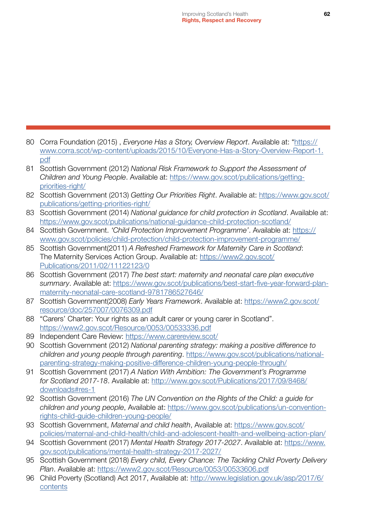- 80 Corra Foundation (2015) , *Everyone Has a Story, Overview Report*. Available at: ["https://](https://www.corra.scot/wp-content/uploads/2015/10/Everyone-Has-a-Story-Overview-Report-1.pdf) [www.corra.scot/wp-content/uploads/2015/10/Everyone-Has-a-Story-Overview-Report-1.](https://www.corra.scot/wp-content/uploads/2015/10/Everyone-Has-a-Story-Overview-Report-1.pdf) [pdf](https://www.corra.scot/wp-content/uploads/2015/10/Everyone-Has-a-Story-Overview-Report-1.pdf)
- 81 Scottish Government (2012) *National Risk Framework to Support the Assessment of Children and Young People*. Available at: [https://www.gov.scot/publications/getting](https://www.gov.scot/publications/getting-priorities-right/)[priorities-right/](https://www.gov.scot/publications/getting-priorities-right/)
- 82 Scottish Government (2013) *Getting Our Priorities Right*. Available at: [https://www.gov.scot/](https://www.gov.scot/publications/getting-priorities-right/) [publications/getting-priorities-right/](https://www.gov.scot/publications/getting-priorities-right/)
- 83 Scottish Government (2014) *National guidance for child protection in Scotland*. Available at: <https://www.gov.scot/publications/national-guidance-child-protection-scotland/>
- 84 Scottish Government. *'Child Protection Improvement Programme'*. Available at: [https://](https://www.gov.scot/policies/child-protection/child-protection-improvement-programme/) [www.gov.scot/policies/child-protection/child-protection-improvement-programme/](https://www.gov.scot/policies/child-protection/child-protection-improvement-programme/)
- 85 Scottish Government(2011) *A Refreshed Framework for Maternity Care in Scotland*: The Maternity Services Action Group. Available at: [https://www2.gov.scot/](https://www2.gov.scot/Publications/2011/02/11122123/0) [Publications/2011/02/11122123/0](https://www2.gov.scot/Publications/2011/02/11122123/0)
- 86 Scottish Government (2017) *The best start: maternity and neonatal care plan executive summary*. Available at: [https://www.gov.scot/publications/best-start-five-year-forward-plan](https://www.gov.scot/publications/best-start-five-year-forward-plan-maternity-neonatal-care-scotland-9781786527646/)[maternity-neonatal-care-scotland-9781786527646/](https://www.gov.scot/publications/best-start-five-year-forward-plan-maternity-neonatal-care-scotland-9781786527646/)
- 87 Scottish Government(2008) *Early Years Framework*. Available at: [https://www2.gov.scot/](https://www2.gov.scot/resource/doc/257007/0076309.pdf) [resource/doc/257007/0076309.pdf](https://www2.gov.scot/resource/doc/257007/0076309.pdf)
- 88 "Carers' Charter: Your rights as an adult carer or young carer in Scotland". <https://www2.gov.scot/Resource/0053/00533336.pdf>
- 89 Independent Care Review:<https://www.carereview.scot/>
- 90 Scottish Government (2012) *National parenting strategy: making a positive difference to children and young people through parenting*. [https://www.gov.scot/publications/national](https://www.gov.scot/publications/national-parenting-strategy-making-positive-difference-children-young-people-through/)[parenting-strategy-making-positive-difference-children-young-people-through/](https://www.gov.scot/publications/national-parenting-strategy-making-positive-difference-children-young-people-through/)
- 91 Scottish Government (2017) *A Nation With Ambition: The Government's Programme for Scotland 2017-18*. Available at: [http://www.gov.scot/Publications/2017/09/8468/](http://www.gov.scot/Publications/2017/09/8468/downloads#res-1) [downloads#res-1](http://www.gov.scot/Publications/2017/09/8468/downloads#res-1)
- 92 Scottish Government (2016) *The UN Convention on the Rights of the Child: a guide for children and young people*, Available at: [https://www.gov.scot/publications/un-convention](https://www.gov.scot/publications/un-convention-rights-child-guide-children-young-people/)[rights-child-guide-children-young-people/](https://www.gov.scot/publications/un-convention-rights-child-guide-children-young-people/)
- 93 Scottish Government, *Maternal and child health*, Available at: [https://www.gov.scot/](https://www.gov.scot/policies/maternal-and-child-health/child-and-adolescent-health-and-wellbeing-action-plan/) [policies/maternal-and-child-health/child-and-adolescent-health-and-wellbeing-action-plan/](https://www.gov.scot/policies/maternal-and-child-health/child-and-adolescent-health-and-wellbeing-action-plan/)
- 94 Scottish Government (2017) *Mental Health Strategy 2017-2027*. Available at: [https://www.](https://www.gov.scot/publications/mental-health-strategy-2017-2027/) [gov.scot/publications/mental-health-strategy-2017-2027/](https://www.gov.scot/publications/mental-health-strategy-2017-2027/)
- 95 Scottish Government (2018) *Every child, Every Chance: The Tackling Child Poverty Delivery Plan*. Available at:<https://www2.gov.scot/Resource/0053/00533606.pdf>
- 96 Child Poverty (Scotland) Act 2017, Available at: [http://www.legislation.gov.uk/asp/2017/6/](http://www.legislation.gov.uk/asp/2017/6/contents) [contents](http://www.legislation.gov.uk/asp/2017/6/contents)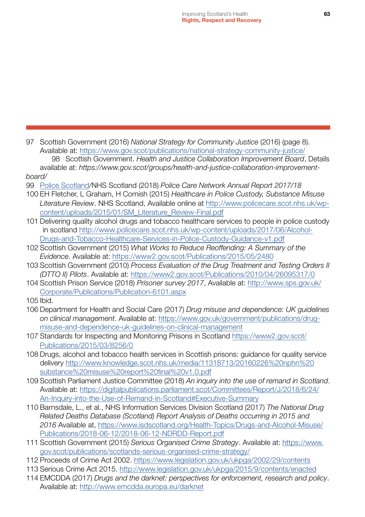97 Scottish Government (2016) *National Strategy for Community Justice* (2016) (page 8). Available at:<https://www.gov.scot/publications/national-strategy-community-justice/> 98 Scottish Government. *Health and Justice Collaboration Improvement Board*, Details available at: *[https://www.gov.scot/groups/health-and-justice-collaboration-improvement](https://www.gov.scot/groups/health-and-justice-collaboration-improvement-board/)board/*

- 99 [Police Scotland](http://www.policecare.scot.nhs.uk/wp-content/uploads/2015/01/SM_Literature_Review-Final.pdf)/NHS Scotland (2018) *Police Care Network Annual Report 2017/18*
- 100 EH Fletcher, L Graham, H Cornish (2015) *Healthcare in Police Custody, Substance Misuse Literature Review*. NHS Scotland, Available online at [http://www.policecare.scot.nhs.uk/wp](http://www.policecare.scot.nhs.uk/wp-content/uploads/2015/01/SM_Literature_Review-Final.pdf)[content/uploads/2015/01/SM\\_Literature\\_Review-Final.pdf](http://www.policecare.scot.nhs.uk/wp-content/uploads/2015/01/SM_Literature_Review-Final.pdf)
- 101 Delivering quality alcohol drugs and tobacco healthcare services to people in police custody in scotland [http://www.policecare.scot.nhs.uk/wp-content/uploads/2017/06/Alcohol-](http://www.policecare.scot.nhs.uk/wp-content/uploads/2017/06/Alcohol-Drugs-and-Tobacco-Healthcare-Services-in-Police-Custody-Guidance-v1.pdf)[Drugs-and-Tobacco-Healthcare-Services-in-Police-Custody-Guidance-v1.pdf](http://www.policecare.scot.nhs.uk/wp-content/uploads/2017/06/Alcohol-Drugs-and-Tobacco-Healthcare-Services-in-Police-Custody-Guidance-v1.pdf)
- 102 Scottish Government (2015) *What Works to Reduce Reoffending: A Summary of the Evidence*. Available at:<https://www2.gov.scot/Publications/2015/05/2480>
- 103 Scottish Government (2010) *Process Evaluation of the Drug Treatment and Testing Orders II (DTTO II) Pilots*. Available at:<https://www2.gov.scot/Publications/2010/04/26095317/0>
- 104 Scottish Prison Service (2018) *Prisoner survey 2017*, Available at: [http://www.sps.gov.uk/](http://www.sps.gov.uk/Corporate/Publications/Publication-6101.aspx) [Corporate/Publications/Publication-6101.aspx](http://www.sps.gov.uk/Corporate/Publications/Publication-6101.aspx)
- 105 Ibid.
- 106 Department for Health and Social Care (2017) *Drug misuse and dependence: UK guidelines on clinical management*. Available at: [https://www.gov.uk/government/publications/drug](https://www.gov.uk/government/publications/drug-misuse-and-dependence-uk-guidelines-on-clinical-management)[misuse-and-dependence-uk-guidelines-on-clinical-management](https://www.gov.uk/government/publications/drug-misuse-and-dependence-uk-guidelines-on-clinical-management)
- 107 Standards for Inspecting and Monitoring Prisons in Scotland [https://www2.gov.scot/](https://www2.gov.scot/Publications/2015/03/8256/0) [Publications/2015/03/8256/0](https://www2.gov.scot/Publications/2015/03/8256/0)
- 108 Drugs, alcohol and tobacco health services in Scottish prisons: guidance for quality service delivery [http://www.knowledge.scot.nhs.uk/media/11318713/20160226%20nphn%20](http://www.knowledge.scot.nhs.uk/media/11318713/20160226%20nphn%20substance%20misuse%20report%20final%20v1.0.pdf) [substance%20misuse%20report%20final%20v1.0.pdf](http://www.knowledge.scot.nhs.uk/media/11318713/20160226%20nphn%20substance%20misuse%20report%20final%20v1.0.pdf)
- 109 Scottish Parliament Justice Committee (2018) *An inquiry into the use of remand in Scotland*. Available at: [https://digitalpublications.parliament.scot/Committees/Report/J/2018/6/24/](https://digitalpublications.parliament.scot/Committees/Report/J/2018/6/24/An-Inquiry-into-the-Use-of-Remand-in-Scotland#Executive-Summary) [An-Inquiry-into-the-Use-of-Remand-in-Scotland#Executive-Summary](https://digitalpublications.parliament.scot/Committees/Report/J/2018/6/24/An-Inquiry-into-the-Use-of-Remand-in-Scotland#Executive-Summary)
- 110 Barnsdale, L., et al., NHS Information Services Division Scotland (2017) *The National Drug Related Deaths Database (Scotland) Report Analysis of Deaths occurring in 2015 and 2016* Available at, [https://www.isdscotland.org/Health-Topics/Drugs-and-Alcohol-Misuse/](https://www.isdscotland.org/Health-Topics/Drugs-and-Alcohol-Misuse/Publications/2018-06-12/2018-06-12-NDRDD-Report.pdf) [Publications/2018-06-12/2018-06-12-NDRDD-Report.pdf](https://www.isdscotland.org/Health-Topics/Drugs-and-Alcohol-Misuse/Publications/2018-06-12/2018-06-12-NDRDD-Report.pdf)
- 111 Scottish Government (2015) *Serious Organised Crime Strategy*. Available at: [https://www.](https://www.gov.scot/publications/scotlands-serious-organised-crime-strategy/) [gov.scot/publications/scotlands-serious-organised-crime-strategy/](https://www.gov.scot/publications/scotlands-serious-organised-crime-strategy/)
- 112 Proceeds of Crime Act 2002. <https://www.legislation.gov.uk/ukpga/2002/29/contents>
- 113 Serious Crime Act 2015.<http://www.legislation.gov.uk/ukpga/2015/9/contents/enacted>
- 114 EMCDDA (2017) *Drugs and the darknet: perspectives for enforcement, research and policy*. Available at:<http://www.emcdda.europa.eu/darknet>